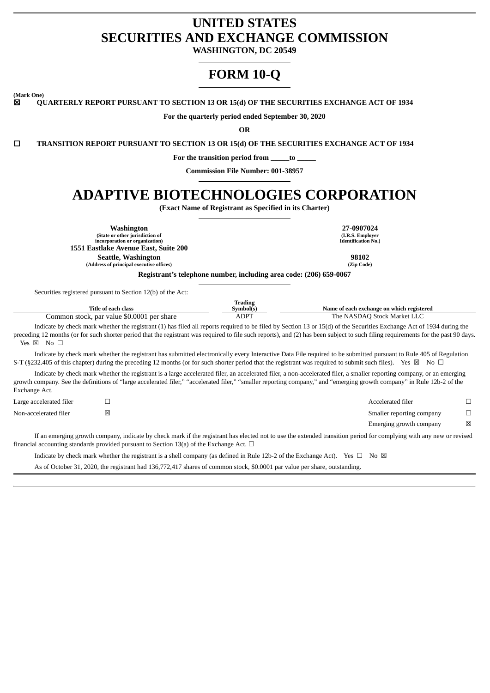# **UNITED STATES SECURITIES AND EXCHANGE COMMISSION**

**WASHINGTON, DC 20549**

# **FORM 10-Q**

**(Mark One)**

☒ **QUARTERLY REPORT PURSUANT TO SECTION 13 OR 15(d) OF THE SECURITIES EXCHANGE ACT OF 1934**

**For the quarterly period ended September 30, 2020**

**OR**

☐ **TRANSITION REPORT PURSUANT TO SECTION 13 OR 15(d) OF THE SECURITIES EXCHANGE ACT OF 1934**

**For the transition period from \_\_\_\_\_to \_\_\_\_\_**

**Commission File Number: 001-38957**

# **ADAPTIVE BIOTECHNOLOGIES CORPORATION**

**(Exact Name of Registrant as Specified in its Charter)**

**Washington 27-0907024 (State or other jurisdiction of incorporation or organization) (I.R.S. Employer Identification No.) 1551 Eastlake Avenue East, Suite 200 Seattle, Washington 98102**<br> **Participal executive offices 198102**<br> **Participal executive offices 198102 (Address of principal executive offices) (Zip Code) Registrant's telephone number, including area code: (206) 659-0067**

Securities registered pursuant to Section 12(b) of the Act:

| Title of each class                        | Frading<br>Symbol(s) | Name of each exchange on which registered |
|--------------------------------------------|----------------------|-------------------------------------------|
| Common stock, par value \$0.0001 per share | ADPT                 | The NASDAQ Stock Market LLC               |

Indicate by check mark whether the registrant (1) has filed all reports required to be filed by Section 13 or 15(d) of the Securities Exchange Act of 1934 during the preceding 12 months (or for such shorter period that the registrant was required to file such reports), and (2) has been subject to such filing requirements for the past 90 days.  $Yes \boxtimes \text{No } \square$ 

Indicate by check mark whether the registrant has submitted electronically every Interactive Data File required to be submitted pursuant to Rule 405 of Regulation S-T (§232.405 of this chapter) during the preceding 12 months (or for such shorter period that the registrant was required to submit such files). Yes ⊠ No □

Indicate by check mark whether the registrant is a large accelerated filer, an accelerated filer, a non-accelerated filer, a smaller reporting company, or an emerging growth company. See the definitions of "large accelerated filer," "accelerated filer," "smaller reporting company," and "emerging growth company" in Rule 12b-2 of the Exchange Act.

| Large accelerated filer | Accelerated filer         |   |
|-------------------------|---------------------------|---|
| Non-accelerated filer   | Smaller reporting company |   |
|                         | Emerging growth company   | ⊠ |

If an emerging growth company, indicate by check mark if the registrant has elected not to use the extended transition period for complying with any new or revised financial accounting standards provided pursuant to Section 13(a) of the Exchange Act.  $\Box$ 

Indicate by check mark whether the registrant is a shell company (as defined in Rule 12b-2 of the Exchange Act). Yes  $\Box$  No  $\boxtimes$ 

As of October 31, 2020, the registrant had 136,772,417 shares of common stock, \$0.0001 par value per share, outstanding.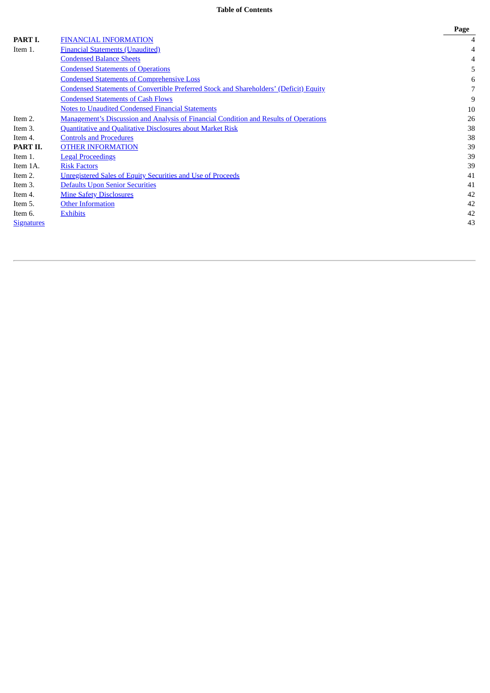# **Table of Contents**

|                   |                                                                                               | Page |
|-------------------|-----------------------------------------------------------------------------------------------|------|
| PART I.           | <b>FINANCIAL INFORMATION</b>                                                                  | 4    |
| Item 1.           | <b>Financial Statements (Unaudited)</b>                                                       | 4    |
|                   | <b>Condensed Balance Sheets</b>                                                               |      |
|                   | <b>Condensed Statements of Operations</b>                                                     | 5    |
|                   | <b>Condensed Statements of Comprehensive Loss</b>                                             | 6    |
|                   | <b>Condensed Statements of Convertible Preferred Stock and Shareholders' (Deficit) Equity</b> | 7    |
|                   | <b>Condensed Statements of Cash Flows</b>                                                     | 9    |
|                   | <b>Notes to Unaudited Condensed Financial Statements</b>                                      | 10   |
| Item 2.           | <b>Management's Discussion and Analysis of Financial Condition and Results of Operations</b>  | 26   |
| Item 3.           | <b>Quantitative and Qualitative Disclosures about Market Risk</b>                             | 38   |
| Item 4.           | <b>Controls and Procedures</b>                                                                | 38   |
| PART II.          | <b>OTHER INFORMATION</b>                                                                      | 39   |
| Item 1.           | <b>Legal Proceedings</b>                                                                      | 39   |
| Item 1A.          | <b>Risk Factors</b>                                                                           | 39   |
| Item 2.           | <b>Unregistered Sales of Equity Securities and Use of Proceeds</b>                            | 41   |
| Item 3.           | <b>Defaults Upon Senior Securities</b>                                                        | 41   |
| Item 4.           | <b>Mine Safety Disclosures</b>                                                                | 42   |
| Item 5.           | <b>Other Information</b>                                                                      | 42   |
| Item 6.           | <b>Exhibits</b>                                                                               | 42   |
| <b>Signatures</b> |                                                                                               | 43   |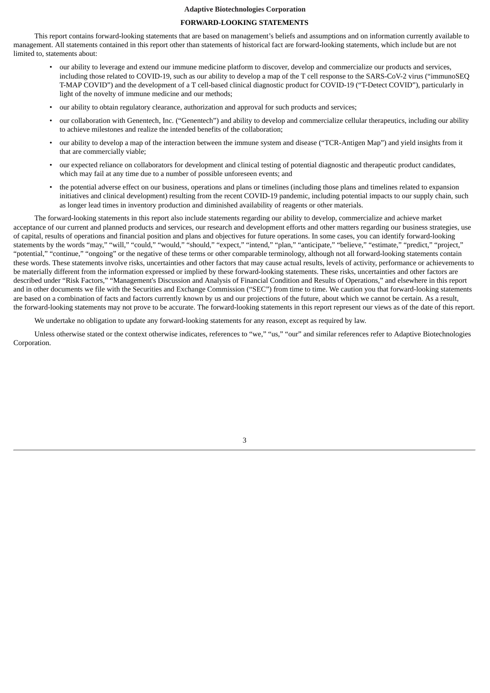## **FORWARD-LOOKING STATEMENTS**

This report contains forward-looking statements that are based on management's beliefs and assumptions and on information currently available to management. All statements contained in this report other than statements of historical fact are forward-looking statements, which include but are not limited to, statements about:

- our ability to leverage and extend our immune medicine platform to discover, develop and commercialize our products and services, including those related to COVID-19, such as our ability to develop a map of the T cell response to the SARS-CoV-2 virus ("immunoSEQ T-MAP COVID") and the development of a T cell-based clinical diagnostic product for COVID-19 ("T-Detect COVID"), particularly in light of the novelty of immune medicine and our methods;
- our ability to obtain regulatory clearance, authorization and approval for such products and services;
- our collaboration with Genentech, Inc. ("Genentech") and ability to develop and commercialize cellular therapeutics, including our ability to achieve milestones and realize the intended benefits of the collaboration;
- our ability to develop a map of the interaction between the immune system and disease ("TCR-Antigen Map") and yield insights from it that are commercially viable;
- our expected reliance on collaborators for development and clinical testing of potential diagnostic and therapeutic product candidates, which may fail at any time due to a number of possible unforeseen events; and
- the potential adverse effect on our business, operations and plans or timelines (including those plans and timelines related to expansion initiatives and clinical development) resulting from the recent COVID-19 pandemic, including potential impacts to our supply chain, such as longer lead times in inventory production and diminished availability of reagents or other materials.

The forward-looking statements in this report also include statements regarding our ability to develop, commercialize and achieve market acceptance of our current and planned products and services, our research and development efforts and other matters regarding our business strategies, use of capital, results of operations and financial position and plans and objectives for future operations. In some cases, you can identify forward-looking statements by the words "may," "will," "could," "would," "should," "expect," "intend," "plan," "anticipate," "believe," "estimate," "predict," "project," "potential," "continue," "ongoing" or the negative of these terms or other comparable terminology, although not all forward-looking statements contain these words. These statements involve risks, uncertainties and other factors that may cause actual results, levels of activity, performance or achievements to be materially different from the information expressed or implied by these forward-looking statements. These risks, uncertainties and other factors are described under "Risk Factors," "Management's Discussion and Analysis of Financial Condition and Results of Operations," and elsewhere in this report and in other documents we file with the Securities and Exchange Commission ("SEC") from time to time. We caution you that forward-looking statements are based on a combination of facts and factors currently known by us and our projections of the future, about which we cannot be certain. As a result, the forward-looking statements may not prove to be accurate. The forward-looking statements in this report represent our views as of the date of this report.

We undertake no obligation to update any forward-looking statements for any reason, except as required by law.

Unless otherwise stated or the context otherwise indicates, references to "we," "us," "our" and similar references refer to Adaptive Biotechnologies Corporation.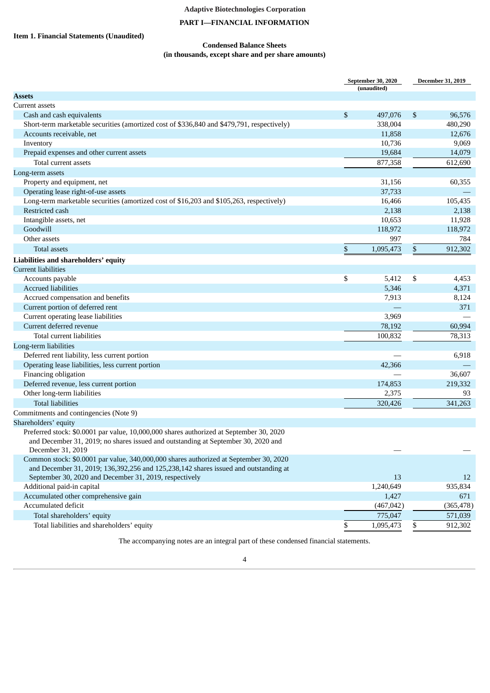# **PART I—FINANCIAL INFORMATION**

# <span id="page-3-2"></span><span id="page-3-1"></span><span id="page-3-0"></span>**Item 1. Financial Statements (Unaudited)**

## **Condensed Balance Sheets (in thousands, except share and per share amounts)**

|                                                                                                        |      | September 30, 2020<br>(unaudited) | <b>December 31, 2019</b> |
|--------------------------------------------------------------------------------------------------------|------|-----------------------------------|--------------------------|
| <b>Assets</b>                                                                                          |      |                                   |                          |
| Current assets                                                                                         |      |                                   |                          |
| Cash and cash equivalents                                                                              | \$   | 497,076                           | \$<br>96,576             |
| Short-term marketable securities (amortized cost of \$336,840 and \$479,791, respectively)             |      | 338,004                           | 480,290                  |
| Accounts receivable, net                                                                               |      | 11,858                            | 12,676                   |
| Inventory                                                                                              |      | 10,736                            | 9,069                    |
| Prepaid expenses and other current assets                                                              |      | 19,684                            | 14,079                   |
| Total current assets                                                                                   |      | 877,358                           | 612,690                  |
| Long-term assets                                                                                       |      |                                   |                          |
| Property and equipment, net                                                                            |      | 31,156                            | 60,355                   |
| Operating lease right-of-use assets                                                                    |      | 37,733                            |                          |
| Long-term marketable securities (amortized cost of \$16,203 and \$105,263, respectively)               |      | 16,466                            | 105,435                  |
| Restricted cash                                                                                        |      | 2,138                             | 2,138                    |
| Intangible assets, net                                                                                 |      | 10,653                            | 11,928                   |
| Goodwill                                                                                               |      | 118,972                           | 118,972                  |
| Other assets                                                                                           |      | 997                               | 784                      |
| <b>Total assets</b>                                                                                    | $\$$ | 1,095,473                         | \$<br>912,302            |
| Liabilities and shareholders' equity                                                                   |      |                                   |                          |
| <b>Current liabilities</b>                                                                             |      |                                   |                          |
| Accounts payable                                                                                       | \$   | 5,412                             | \$<br>4,453              |
| <b>Accrued liabilities</b>                                                                             |      | 5,346                             | 4,371                    |
| Accrued compensation and benefits                                                                      |      | 7,913                             | 8,124                    |
| Current portion of deferred rent                                                                       |      |                                   | 371                      |
| Current operating lease liabilities                                                                    |      | 3,969                             |                          |
| Current deferred revenue                                                                               |      | 78,192                            | 60,994                   |
| Total current liabilities                                                                              |      | 100,832                           | 78,313                   |
| Long-term liabilities                                                                                  |      |                                   |                          |
| Deferred rent liability, less current portion                                                          |      |                                   | 6,918                    |
| Operating lease liabilities, less current portion                                                      |      | 42,366                            |                          |
| Financing obligation                                                                                   |      |                                   | 36,607                   |
| Deferred revenue, less current portion                                                                 |      | 174,853                           | 219,332                  |
| Other long-term liabilities                                                                            |      |                                   |                          |
|                                                                                                        |      | 2,375                             | 93                       |
| <b>Total liabilities</b>                                                                               |      | 320,426                           | 341,263                  |
| Commitments and contingencies (Note 9)                                                                 |      |                                   |                          |
| Shareholders' equity                                                                                   |      |                                   |                          |
| Preferred stock: \$0.0001 par value, 10,000,000 shares authorized at September 30, 2020                |      |                                   |                          |
| and December 31, 2019; no shares issued and outstanding at September 30, 2020 and<br>December 31, 2019 |      |                                   |                          |
| Common stock: \$0.0001 par value, 340,000,000 shares authorized at September 30, 2020                  |      |                                   |                          |
| and December 31, 2019; 136,392,256 and 125,238,142 shares issued and outstanding at                    |      |                                   |                          |
| September 30, 2020 and December 31, 2019, respectively                                                 |      | 13                                | 12                       |
| Additional paid-in capital                                                                             |      | 1,240,649                         | 935,834                  |
| Accumulated other comprehensive gain                                                                   |      | 1,427                             | 671                      |
| Accumulated deficit                                                                                    |      | (467, 042)                        | (365, 478)               |
| Total shareholders' equity                                                                             |      | 775,047                           | 571,039                  |
|                                                                                                        |      |                                   |                          |
| Total liabilities and shareholders' equity                                                             | \$   | 1,095,473                         | \$<br>912,302            |

The accompanying notes are an integral part of these condensed financial statements.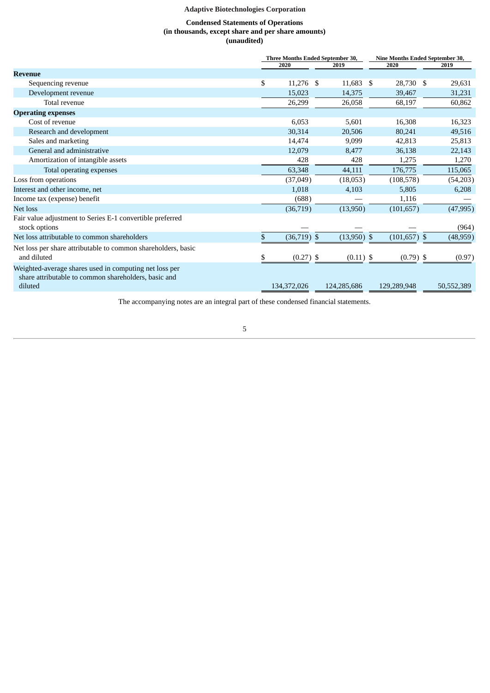## **Condensed Statements of Operations (in thousands, except share and per share amounts) (unaudited)**

<span id="page-4-0"></span>

|                                                                                                                           |                     | Three Months Ended September 30, |                 | Nine Months Ended September 30, |  |  |
|---------------------------------------------------------------------------------------------------------------------------|---------------------|----------------------------------|-----------------|---------------------------------|--|--|
|                                                                                                                           | 2020<br>2019        |                                  | 2020            | 2019                            |  |  |
| <b>Revenue</b>                                                                                                            |                     |                                  |                 |                                 |  |  |
| Sequencing revenue                                                                                                        | \$<br>11,276        | 11,683 \$<br>-S                  | 28,730 \$       | 29,631                          |  |  |
| Development revenue                                                                                                       | 15,023              | 14,375                           | 39,467          | 31,231                          |  |  |
| Total revenue                                                                                                             | 26,299              | 26,058                           | 68,197          | 60,862                          |  |  |
| <b>Operating expenses</b>                                                                                                 |                     |                                  |                 |                                 |  |  |
| Cost of revenue                                                                                                           | 6,053               | 5,601                            | 16,308          | 16,323                          |  |  |
| Research and development                                                                                                  | 30,314              | 20,506                           | 80,241          | 49,516                          |  |  |
| Sales and marketing                                                                                                       | 14,474              | 9,099                            | 42,813          | 25,813                          |  |  |
| General and administrative                                                                                                | 12,079              | 8,477                            | 36,138          | 22,143                          |  |  |
| Amortization of intangible assets                                                                                         | 428                 | 428                              | 1,275           | 1,270                           |  |  |
| Total operating expenses                                                                                                  | 63,348              | 44,111                           | 176,775         | 115,065                         |  |  |
| Loss from operations                                                                                                      | (37,049)            | (18,053)                         | (108, 578)      | (54,203)                        |  |  |
| Interest and other income, net                                                                                            | 1,018               | 4,103                            | 5,805           | 6,208                           |  |  |
| Income tax (expense) benefit                                                                                              | (688)               |                                  | 1,116           |                                 |  |  |
| Net loss                                                                                                                  | (36,719)            | (13,950)                         | (101, 657)      | (47, 995)                       |  |  |
| Fair value adjustment to Series E-1 convertible preferred<br>stock options                                                |                     |                                  |                 | (964)                           |  |  |
| Net loss attributable to common shareholders                                                                              | \$<br>$(36,719)$ \$ | $(13,950)$ \$                    | $(101, 657)$ \$ | (48, 959)                       |  |  |
| Net loss per share attributable to common shareholders, basic<br>and diluted                                              | \$<br>$(0.27)$ \$   | $(0.11)$ \$                      | $(0.79)$ \$     | (0.97)                          |  |  |
| Weighted-average shares used in computing net loss per<br>share attributable to common shareholders, basic and<br>diluted | 134,372,026         | 124,285,686                      | 129,289,948     | 50,552,389                      |  |  |
|                                                                                                                           |                     |                                  |                 |                                 |  |  |

The accompanying notes are an integral part of these condensed financial statements.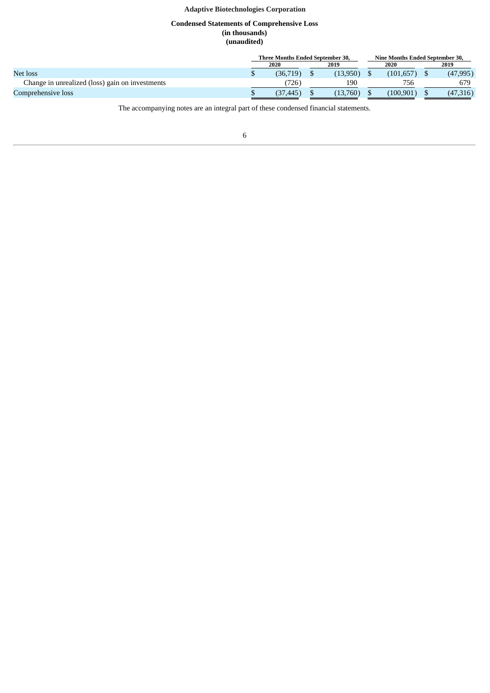## **Condensed Statements of Comprehensive Loss (in thousands) (unaudited)**

<span id="page-5-0"></span>

|                                                 | <b>Three Months Ended September 30.</b> |                  |  |          | Nine Months Ended September 30. |           |      |           |  |
|-------------------------------------------------|-----------------------------------------|------------------|--|----------|---------------------------------|-----------|------|-----------|--|
|                                                 | 2019<br>2020                            |                  |  |          | 2020                            |           | 2019 |           |  |
| Net loss                                        |                                         | (36,719)         |  | (13,950) |                                 | (101.657) |      | (47, 995) |  |
| Change in unrealized (loss) gain on investments |                                         | 726 <sub>1</sub> |  | 190      |                                 | 756       |      | 679       |  |
| Comprehensive loss                              |                                         | (37.445)         |  | (13,760) |                                 | (100.901) |      | (47,316)  |  |

The accompanying notes are an integral part of these condensed financial statements.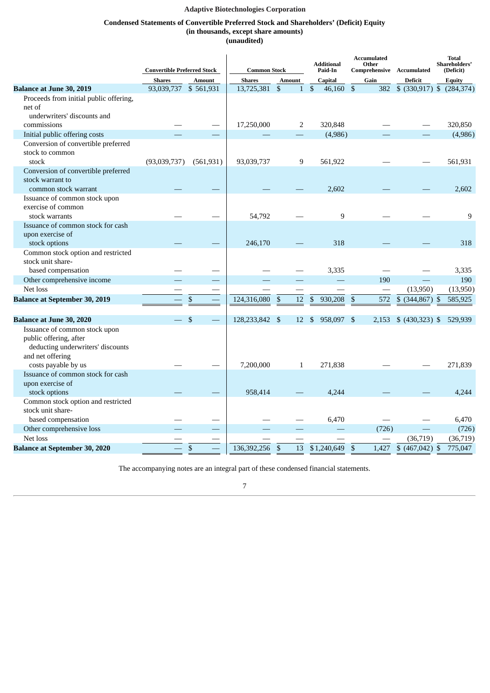## **Condensed Statements of Convertible Preferred Stock and Shareholders' (Deficit) Equity (in thousands, except share amounts)**

**(unaudited)**

<span id="page-6-0"></span>

|                                                                                                                                                     | <b>Convertible Preferred Stock</b> |               | <b>Common Stock</b> |                      | <b>Additional</b><br>Paid-In | <b>Accumulated</b><br>Other      | Comprehensive Accumulated | <b>Total</b><br>Shareholders'<br>(Deficit) |
|-----------------------------------------------------------------------------------------------------------------------------------------------------|------------------------------------|---------------|---------------------|----------------------|------------------------------|----------------------------------|---------------------------|--------------------------------------------|
|                                                                                                                                                     | <b>Shares</b>                      | <b>Amount</b> | <b>Shares</b>       | <b>Amount</b>        | Capital                      | Gain                             | <b>Deficit</b>            | <b>Equity</b>                              |
| <b>Balance at June 30, 2019</b>                                                                                                                     | 93,039,737                         | \$561,931     | 13,725,381          | \$<br>1              | $\mathfrak{s}$<br>46,160     | $\boldsymbol{\mathsf{S}}$        | 382<br>$$$ (330,917) \$   | (284, 374)                                 |
| Proceeds from initial public offering,<br>net of<br>underwriters' discounts and                                                                     |                                    |               |                     |                      |                              |                                  |                           |                                            |
| commissions                                                                                                                                         |                                    |               | 17,250,000          | 2                    | 320,848                      |                                  |                           | 320,850                                    |
| Initial public offering costs                                                                                                                       |                                    |               |                     |                      | (4,986)                      |                                  |                           | (4,986)                                    |
| Conversion of convertible preferred<br>stock to common                                                                                              |                                    |               |                     |                      |                              |                                  |                           |                                            |
| stock                                                                                                                                               | (93,039,737)                       | (561, 931)    | 93,039,737          | 9                    | 561,922                      |                                  |                           | 561,931                                    |
| Conversion of convertible preferred<br>stock warrant to<br>common stock warrant                                                                     |                                    |               |                     |                      | 2,602                        |                                  |                           | 2,602                                      |
| Issuance of common stock upon<br>exercise of common<br>stock warrants                                                                               |                                    |               | 54,792              |                      | 9                            |                                  |                           | 9                                          |
| Issuance of common stock for cash<br>upon exercise of                                                                                               |                                    |               |                     |                      |                              |                                  |                           |                                            |
| stock options                                                                                                                                       |                                    |               | 246,170             |                      | 318                          |                                  |                           | 318                                        |
| Common stock option and restricted<br>stock unit share-                                                                                             |                                    |               |                     |                      |                              |                                  |                           |                                            |
| based compensation                                                                                                                                  |                                    |               |                     |                      | 3,335                        |                                  |                           | 3,335                                      |
| Other comprehensive income                                                                                                                          |                                    |               |                     |                      |                              | 190                              |                           | 190                                        |
| Net loss                                                                                                                                            |                                    |               |                     |                      |                              |                                  | (13,950)                  | (13,950)                                   |
| <b>Balance at September 30, 2019</b>                                                                                                                |                                    | \$            | 124,316,080         | $\mathfrak{s}$<br>12 | $\mathfrak{S}$<br>930,208    | $\boldsymbol{\mathsf{S}}$<br>572 | $$$ (344,867) \$          | 585,925                                    |
|                                                                                                                                                     |                                    |               |                     |                      |                              |                                  |                           |                                            |
| <b>Balance at June 30, 2020</b><br>Issuance of common stock upon<br>public offering, after<br>deducting underwriters' discounts<br>and net offering |                                    | \$            | 128,233,842 \$      | 12                   | 958,097<br>\$                | - \$<br>2,153                    | $$ (430,323)$ \$          | 529,939                                    |
| costs payable by us                                                                                                                                 |                                    |               | 7,200,000           | 1                    | 271,838                      |                                  |                           | 271,839                                    |
| Issuance of common stock for cash<br>upon exercise of<br>stock options                                                                              |                                    |               | 958,414             |                      | 4.244                        |                                  |                           | 4.244                                      |
| Common stock option and restricted<br>stock unit share-                                                                                             |                                    |               |                     |                      |                              |                                  |                           |                                            |
| based compensation                                                                                                                                  |                                    |               |                     |                      | 6,470                        |                                  |                           | 6,470                                      |
| Other comprehensive loss                                                                                                                            |                                    |               |                     |                      |                              | (726)                            |                           | (726)                                      |
| Net loss                                                                                                                                            |                                    |               |                     |                      |                              |                                  | (36, 719)                 | (36,719)                                   |
| <b>Balance at September 30, 2020</b>                                                                                                                |                                    | $\mathbb{S}$  | 136,392,256         | 13<br>$\mathfrak{S}$ | \$1,240,649                  | $\mathfrak{s}$                   | 1,427 \$ (467,042) \$     | 775,047                                    |

The accompanying notes are an integral part of these condensed financial statements.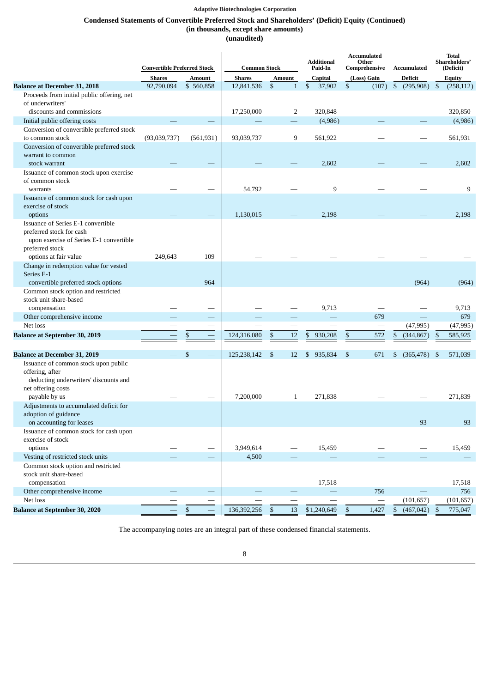# **Condensed Statements of Convertible Preferred Stock and Shareholders' (Deficit) Equity (Continued) (in thousands, except share amounts)**

**(unaudited)**

|                                                                                                                              | <b>Convertible Preferred Stock</b> |                          | <b>Common Stock</b> |                                | <b>Additional</b><br>Other<br>Paid-In |                      | <b>Accumulated</b><br>Shareholders'<br>Comprehensive<br>Accumulated |                              |  |
|------------------------------------------------------------------------------------------------------------------------------|------------------------------------|--------------------------|---------------------|--------------------------------|---------------------------------------|----------------------|---------------------------------------------------------------------|------------------------------|--|
|                                                                                                                              | <b>Shares</b>                      | <b>Amount</b>            | <b>Shares</b>       | <b>Amount</b>                  | Capital                               | (Loss) Gain          | <b>Deficit</b>                                                      | <b>Equity</b>                |  |
| <b>Balance at December 31, 2018</b>                                                                                          | 92,790,094                         | \$560,858                | 12,841,536          | \$<br>$\mathbf{1}$             | \$<br>37,902                          | \$<br>(107)          | $\mathbb{S}$<br>(295,908)                                           | $\mathfrak{S}$<br>(258, 112) |  |
| Proceeds from initial public offering, net<br>of underwriters'                                                               |                                    |                          |                     |                                |                                       |                      |                                                                     |                              |  |
| discounts and commissions                                                                                                    |                                    |                          | 17,250,000          | 2                              | 320,848                               |                      |                                                                     | 320,850                      |  |
| Initial public offering costs                                                                                                |                                    |                          |                     |                                | (4,986)                               |                      |                                                                     | (4,986)                      |  |
| Conversion of convertible preferred stock                                                                                    |                                    |                          |                     |                                |                                       |                      |                                                                     |                              |  |
| to common stock                                                                                                              | (93,039,737)                       | (561, 931)               | 93,039,737          | 9                              | 561,922                               |                      |                                                                     | 561,931                      |  |
| Conversion of convertible preferred stock                                                                                    |                                    |                          |                     |                                |                                       |                      |                                                                     |                              |  |
| warrant to common                                                                                                            |                                    |                          |                     |                                |                                       |                      |                                                                     |                              |  |
| stock warrant                                                                                                                |                                    |                          |                     |                                | 2,602                                 |                      |                                                                     | 2,602                        |  |
| Issuance of common stock upon exercise                                                                                       |                                    |                          |                     |                                |                                       |                      |                                                                     |                              |  |
| of common stock                                                                                                              |                                    |                          |                     |                                |                                       |                      |                                                                     |                              |  |
| warrants                                                                                                                     |                                    |                          | 54,792              |                                | 9                                     |                      |                                                                     | 9                            |  |
| Issuance of common stock for cash upon                                                                                       |                                    |                          |                     |                                |                                       |                      |                                                                     |                              |  |
| exercise of stock                                                                                                            |                                    |                          |                     |                                |                                       |                      |                                                                     |                              |  |
| options                                                                                                                      |                                    |                          | 1,130,015           |                                | 2,198                                 |                      |                                                                     | 2,198                        |  |
| Issuance of Series E-1 convertible<br>preferred stock for cash<br>upon exercise of Series E-1 convertible<br>preferred stock |                                    |                          |                     |                                |                                       |                      |                                                                     |                              |  |
| options at fair value                                                                                                        | 249,643                            | 109                      |                     |                                |                                       |                      |                                                                     |                              |  |
| Change in redemption value for vested<br>Series E-1                                                                          |                                    |                          |                     |                                |                                       |                      |                                                                     |                              |  |
| convertible preferred stock options                                                                                          |                                    | 964                      |                     |                                |                                       |                      | (964)                                                               | (964)                        |  |
| Common stock option and restricted<br>stock unit share-based                                                                 |                                    |                          |                     |                                |                                       |                      |                                                                     |                              |  |
| compensation                                                                                                                 |                                    |                          |                     |                                | 9,713                                 |                      |                                                                     | 9,713                        |  |
| Other comprehensive income                                                                                                   |                                    |                          |                     |                                |                                       | 679                  | $\overline{\phantom{0}}$                                            | 679                          |  |
| Net loss                                                                                                                     |                                    |                          |                     |                                |                                       |                      | (47, 995)                                                           | (47, 995)                    |  |
| <b>Balance at September 30, 2019</b>                                                                                         |                                    | \$                       | 124,316,080         | \$<br>12                       | \$<br>930,208                         | \$<br>572            | (344, 867)<br>\$                                                    | 585,925<br>\$                |  |
|                                                                                                                              |                                    |                          |                     |                                |                                       |                      |                                                                     |                              |  |
| <b>Balance at December 31, 2019</b>                                                                                          |                                    | \$                       | 125,238,142         | \$<br>12                       | 935,834<br>\$                         | \$<br>671            | $(365, 478)$ \$<br>\$                                               | 571,039                      |  |
| Issuance of common stock upon public<br>offering, after<br>deducting underwriters' discounts and<br>net offering costs       |                                    |                          |                     |                                |                                       |                      |                                                                     |                              |  |
| payable by us                                                                                                                |                                    |                          | 7,200,000           | $\mathbf{1}$                   | 271,838                               |                      |                                                                     | 271,839                      |  |
| Adjustments to accumulated deficit for<br>adoption of guidance                                                               |                                    |                          |                     |                                |                                       |                      |                                                                     |                              |  |
| on accounting for leases                                                                                                     |                                    |                          |                     |                                |                                       |                      | 93                                                                  | 93                           |  |
| Issuance of common stock for cash upon                                                                                       |                                    |                          |                     |                                |                                       |                      |                                                                     |                              |  |
| exercise of stock                                                                                                            |                                    |                          |                     |                                |                                       |                      |                                                                     |                              |  |
| options                                                                                                                      |                                    |                          | 3,949,614           |                                | 15,459                                |                      |                                                                     | 15,459                       |  |
| Vesting of restricted stock units                                                                                            |                                    |                          | 4,500               |                                |                                       |                      |                                                                     |                              |  |
| Common stock option and restricted<br>stock unit share-based                                                                 |                                    |                          |                     |                                |                                       |                      |                                                                     |                              |  |
| compensation                                                                                                                 |                                    |                          |                     | $\qquad \qquad \longleftarrow$ | 17,518                                |                      |                                                                     | 17,518                       |  |
| Other comprehensive income                                                                                                   |                                    |                          |                     |                                |                                       | 756                  |                                                                     | 756                          |  |
| Net loss                                                                                                                     |                                    |                          |                     |                                |                                       |                      | (101, 657)                                                          | (101, 657)                   |  |
| <b>Balance at September 30, 2020</b>                                                                                         |                                    | $\equiv$<br>$\mathbb{S}$ | 136,392,256         | 13<br>$\mathfrak{S}$           | \$1,240,649                           | $\mathbb S$<br>1,427 | $\mathbb{S}$<br>$(467, 042)$ \$                                     | 775,047                      |  |

The accompanying notes are an integral part of these condensed financial statements.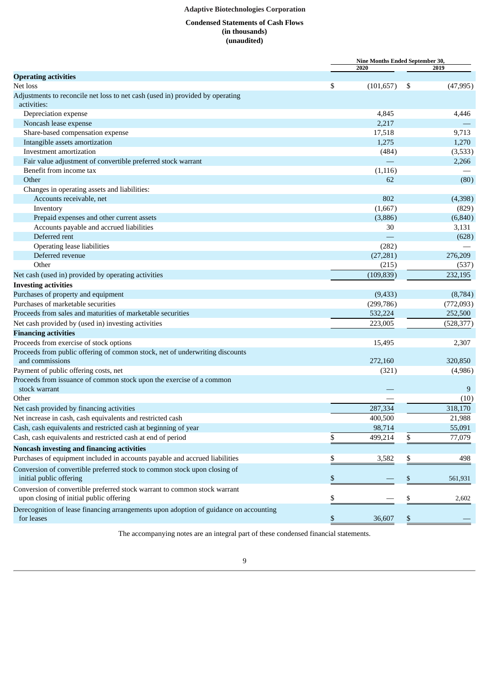# **Condensed Statements of Cash Flows (in thousands) (unaudited)**

<span id="page-8-0"></span>

|                                                                                       | Nine Months Ended September 30, |                           |            |  |
|---------------------------------------------------------------------------------------|---------------------------------|---------------------------|------------|--|
|                                                                                       | 2020                            |                           | 2019       |  |
| <b>Operating activities</b>                                                           |                                 |                           |            |  |
| Net loss                                                                              | \$<br>(101, 657)                | \$                        | (47, 995)  |  |
| Adjustments to reconcile net loss to net cash (used in) provided by operating         |                                 |                           |            |  |
| activities:                                                                           |                                 |                           |            |  |
| Depreciation expense                                                                  | 4,845                           |                           | 4,446      |  |
| Noncash lease expense                                                                 | 2,217                           |                           |            |  |
| Share-based compensation expense                                                      | 17,518                          |                           | 9,713      |  |
| Intangible assets amortization                                                        | 1,275                           |                           | 1,270      |  |
| Investment amortization                                                               | (484)                           |                           | (3,533)    |  |
| Fair value adjustment of convertible preferred stock warrant                          |                                 |                           | 2,266      |  |
| Benefit from income tax                                                               | (1, 116)                        |                           |            |  |
| Other                                                                                 | 62                              |                           | (80)       |  |
| Changes in operating assets and liabilities:                                          |                                 |                           |            |  |
| Accounts receivable, net                                                              | 802                             |                           | (4,398)    |  |
| Inventory                                                                             | (1,667)                         |                           | (829)      |  |
| Prepaid expenses and other current assets                                             | (3,886)                         |                           | (6, 840)   |  |
| Accounts payable and accrued liabilities                                              | 30                              |                           | 3,131      |  |
| Deferred rent                                                                         |                                 |                           | (628)      |  |
| <b>Operating lease liabilities</b>                                                    | (282)                           |                           |            |  |
| Deferred revenue                                                                      | (27, 281)                       |                           | 276,209    |  |
| Other                                                                                 | (215)                           |                           | (537)      |  |
| Net cash (used in) provided by operating activities                                   | (109, 839)                      |                           | 232,195    |  |
| <b>Investing activities</b>                                                           |                                 |                           |            |  |
| Purchases of property and equipment                                                   | (9, 433)                        |                           | (8,784)    |  |
| Purchases of marketable securities                                                    | (299, 786)                      |                           | (772,093)  |  |
| Proceeds from sales and maturities of marketable securities                           | 532,224                         |                           | 252,500    |  |
| Net cash provided by (used in) investing activities                                   | 223,005                         |                           | (528, 377) |  |
|                                                                                       |                                 |                           |            |  |
| <b>Financing activities</b>                                                           |                                 |                           |            |  |
| Proceeds from exercise of stock options                                               | 15,495                          |                           | 2,307      |  |
| Proceeds from public offering of common stock, net of underwriting discounts          |                                 |                           |            |  |
| and commissions                                                                       | 272,160                         |                           | 320,850    |  |
| Payment of public offering costs, net                                                 | (321)                           |                           | (4,986)    |  |
| Proceeds from issuance of common stock upon the exercise of a common                  |                                 |                           |            |  |
| stock warrant                                                                         |                                 |                           | 9          |  |
| Other                                                                                 |                                 |                           | (10)       |  |
| Net cash provided by financing activities                                             | 287,334                         |                           | 318,170    |  |
| Net increase in cash, cash equivalents and restricted cash                            | 400,500                         |                           | 21,988     |  |
| Cash, cash equivalents and restricted cash at beginning of year                       | 98,714                          |                           | 55,091     |  |
| Cash, cash equivalents and restricted cash at end of period                           | \$<br>499,214                   | \$                        | 77,079     |  |
| Noncash investing and financing activities                                            |                                 |                           |            |  |
| Purchases of equipment included in accounts payable and accrued liabilities           | \$<br>3,582                     | \$                        | 498        |  |
| Conversion of convertible preferred stock to common stock upon closing of             |                                 |                           |            |  |
| initial public offering                                                               | \$                              | \$                        | 561,931    |  |
| Conversion of convertible preferred stock warrant to common stock warrant             |                                 |                           |            |  |
| upon closing of initial public offering                                               | \$                              | \$                        | 2,602      |  |
| Derecognition of lease financing arrangements upon adoption of guidance on accounting |                                 |                           |            |  |
| for leases                                                                            | \$<br>36,607                    | $\boldsymbol{\mathsf{S}}$ |            |  |
|                                                                                       |                                 |                           |            |  |

The accompanying notes are an integral part of these condensed financial statements.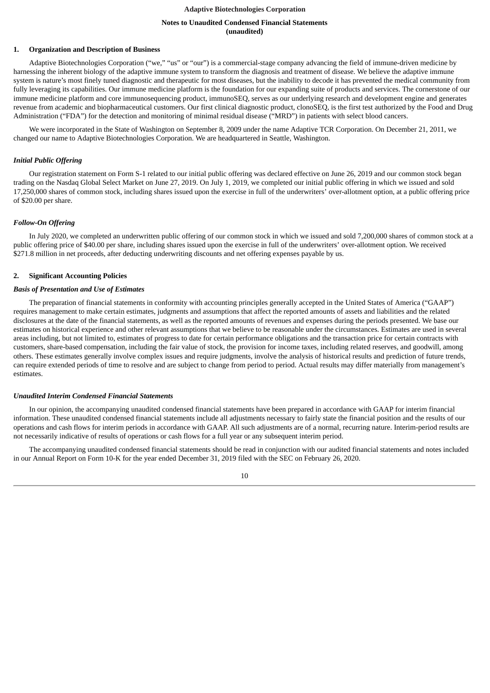## **Notes to Unaudited Condensed Financial Statements (unaudited)**

## <span id="page-9-0"></span>**1. Organization and Description of Business**

Adaptive Biotechnologies Corporation ("we," "us" or "our") is a commercial-stage company advancing the field of immune-driven medicine by harnessing the inherent biology of the adaptive immune system to transform the diagnosis and treatment of disease. We believe the adaptive immune system is nature's most finely tuned diagnostic and therapeutic for most diseases, but the inability to decode it has prevented the medical community from fully leveraging its capabilities. Our immune medicine platform is the foundation for our expanding suite of products and services. The cornerstone of our immune medicine platform and core immunosequencing product, immunoSEQ, serves as our underlying research and development engine and generates revenue from academic and biopharmaceutical customers. Our first clinical diagnostic product, clonoSEQ, is the first test authorized by the Food and Drug Administration ("FDA") for the detection and monitoring of minimal residual disease ("MRD") in patients with select blood cancers.

We were incorporated in the State of Washington on September 8, 2009 under the name Adaptive TCR Corporation. On December 21, 2011, we changed our name to Adaptive Biotechnologies Corporation. We are headquartered in Seattle, Washington.

## *Initial Public Offering*

Our registration statement on Form S-1 related to our initial public offering was declared effective on June 26, 2019 and our common stock began trading on the Nasdaq Global Select Market on June 27, 2019. On July 1, 2019, we completed our initial public offering in which we issued and sold 17,250,000 shares of common stock, including shares issued upon the exercise in full of the underwriters' over-allotment option, at a public offering price of \$20.00 per share.

## *Follow-On Offering*

In July 2020, we completed an underwritten public offering of our common stock in which we issued and sold 7,200,000 shares of common stock at a public offering price of \$40.00 per share, including shares issued upon the exercise in full of the underwriters' over-allotment option. We received \$271.8 million in net proceeds, after deducting underwriting discounts and net offering expenses payable by us.

#### **2. Significant Accounting Policies**

## *Basis of Presentation and Use of Estimates*

The preparation of financial statements in conformity with accounting principles generally accepted in the United States of America ("GAAP") requires management to make certain estimates, judgments and assumptions that affect the reported amounts of assets and liabilities and the related disclosures at the date of the financial statements, as well as the reported amounts of revenues and expenses during the periods presented. We base our estimates on historical experience and other relevant assumptions that we believe to be reasonable under the circumstances. Estimates are used in several areas including, but not limited to, estimates of progress to date for certain performance obligations and the transaction price for certain contracts with customers, share-based compensation, including the fair value of stock, the provision for income taxes, including related reserves, and goodwill, among others. These estimates generally involve complex issues and require judgments, involve the analysis of historical results and prediction of future trends, can require extended periods of time to resolve and are subject to change from period to period. Actual results may differ materially from management's estimates.

#### *Unaudited Interim Condensed Financial Statements*

In our opinion, the accompanying unaudited condensed financial statements have been prepared in accordance with GAAP for interim financial information. These unaudited condensed financial statements include all adjustments necessary to fairly state the financial position and the results of our operations and cash flows for interim periods in accordance with GAAP. All such adjustments are of a normal, recurring nature. Interim-period results are not necessarily indicative of results of operations or cash flows for a full year or any subsequent interim period.

The accompanying unaudited condensed financial statements should be read in conjunction with our audited financial statements and notes included in our Annual Report on Form 10-K for the year ended December 31, 2019 filed with the SEC on February 26, 2020.

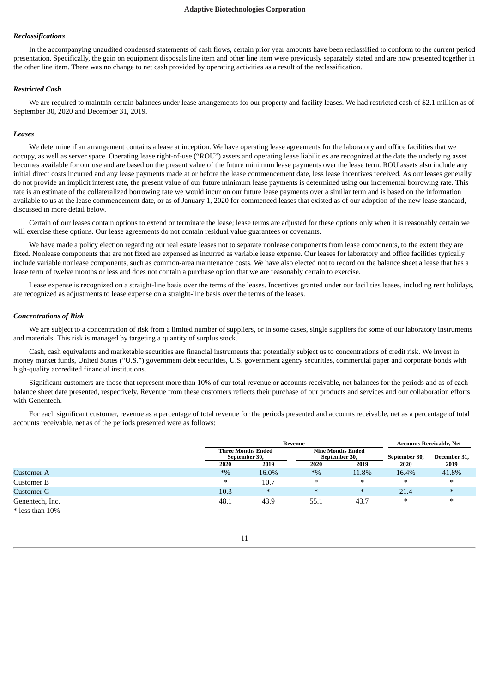## *Reclassifications*

In the accompanying unaudited condensed statements of cash flows, certain prior year amounts have been reclassified to conform to the current period presentation. Specifically, the gain on equipment disposals line item and other line item were previously separately stated and are now presented together in the other line item. There was no change to net cash provided by operating activities as a result of the reclassification.

#### *Restricted Cash*

We are required to maintain certain balances under lease arrangements for our property and facility leases. We had restricted cash of \$2.1 million as of September 30, 2020 and December 31, 2019.

#### *Leases*

We determine if an arrangement contains a lease at inception. We have operating lease agreements for the laboratory and office facilities that we occupy, as well as server space. Operating lease right-of-use ("ROU") assets and operating lease liabilities are recognized at the date the underlying asset becomes available for our use and are based on the present value of the future minimum lease payments over the lease term. ROU assets also include any initial direct costs incurred and any lease payments made at or before the lease commencement date, less lease incentives received. As our leases generally do not provide an implicit interest rate, the present value of our future minimum lease payments is determined using our incremental borrowing rate. This rate is an estimate of the collateralized borrowing rate we would incur on our future lease payments over a similar term and is based on the information available to us at the lease commencement date, or as of January 1, 2020 for commenced leases that existed as of our adoption of the new lease standard, discussed in more detail below.

Certain of our leases contain options to extend or terminate the lease; lease terms are adjusted for these options only when it is reasonably certain we will exercise these options. Our lease agreements do not contain residual value guarantees or covenants.

We have made a policy election regarding our real estate leases not to separate nonlease components from lease components, to the extent they are fixed. Nonlease components that are not fixed are expensed as incurred as variable lease expense. Our leases for laboratory and office facilities typically include variable nonlease components, such as common-area maintenance costs. We have also elected not to record on the balance sheet a lease that has a lease term of twelve months or less and does not contain a purchase option that we are reasonably certain to exercise.

Lease expense is recognized on a straight-line basis over the terms of the leases. Incentives granted under our facilities leases, including rent holidays, are recognized as adjustments to lease expense on a straight-line basis over the terms of the leases.

#### *Concentrations of Risk*

We are subject to a concentration of risk from a limited number of suppliers, or in some cases, single suppliers for some of our laboratory instruments and materials. This risk is managed by targeting a quantity of surplus stock.

Cash, cash equivalents and marketable securities are financial instruments that potentially subject us to concentrations of credit risk. We invest in money market funds, United States ("U.S.") government debt securities, U.S. government agency securities, commercial paper and corporate bonds with high-quality accredited financial institutions.

Significant customers are those that represent more than 10% of our total revenue or accounts receivable, net balances for the periods and as of each balance sheet date presented, respectively. Revenue from these customers reflects their purchase of our products and services and our collaboration efforts with Genentech.

For each significant customer, revenue as a percentage of total revenue for the periods presented and accounts receivable, net as a percentage of total accounts receivable, net as of the periods presented were as follows:

|                   |        | Revenue                                    |        | <b>Accounts Receivable, Net</b>           |               |              |
|-------------------|--------|--------------------------------------------|--------|-------------------------------------------|---------------|--------------|
|                   |        | <b>Three Months Ended</b><br>September 30, |        | <b>Nine Months Ended</b><br>September 30, | September 30, | December 31, |
|                   | 2020   | 2019                                       | 2020   | 2019                                      | 2020          | 2019         |
| Customer A        | $*9/0$ | 16.0%                                      | $*9/6$ | 11.8%                                     | 16.4%         | 41.8%        |
| Customer B        | ∗      | 10.7                                       | $\ast$ | $\ast$                                    | $\ast$        | $\ast$       |
| Customer C        | 10.3   | $\ast$                                     | $\ast$ | $\ast$                                    | 21.4          | $\ast$       |
| Genentech, Inc.   | 48.1   | 43.9                                       | 55.1   | 43.7                                      | $\ast$        | $\ast$       |
| $*$ less than 10% |        |                                            |        |                                           |               |              |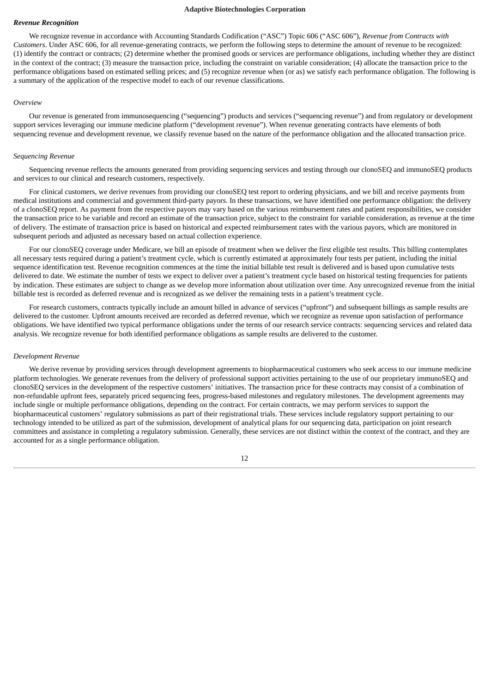## *Revenue Recognition*

We recognize revenue in accordance with Accounting Standards Codification ("ASC") Topic 606 ("ASC 606"), *Revenue from Contracts with Customers*. Under ASC 606, for all revenue-generating contracts, we perform the following steps to determine the amount of revenue to be recognized: (1) identify the contract or contracts; (2) determine whether the promised goods or services are performance obligations, including whether they are distinct in the context of the contract; (3) measure the transaction price, including the constraint on variable consideration; (4) allocate the transaction price to the performance obligations based on estimated selling prices; and (5) recognize revenue when (or as) we satisfy each performance obligation. The following is a summary of the application of the respective model to each of our revenue classifications.

#### *Overview*

Our revenue is generated from immunosequencing ("sequencing") products and services ("sequencing revenue") and from regulatory or development support services leveraging our immune medicine platform ("development revenue"). When revenue generating contracts have elements of both sequencing revenue and development revenue, we classify revenue based on the nature of the performance obligation and the allocated transaction price.

#### *Sequencing Revenue*

Sequencing revenue reflects the amounts generated from providing sequencing services and testing through our clonoSEQ and immunoSEQ products and services to our clinical and research customers, respectively.

For clinical customers, we derive revenues from providing our clonoSEQ test report to ordering physicians, and we bill and receive payments from medical institutions and commercial and government third-party payors. In these transactions, we have identified one performance obligation: the delivery of a clonoSEQ report. As payment from the respective payors may vary based on the various reimbursement rates and patient responsibilities, we consider the transaction price to be variable and record an estimate of the transaction price, subject to the constraint for variable consideration, as revenue at the time of delivery. The estimate of transaction price is based on historical and expected reimbursement rates with the various payors, which are monitored in subsequent periods and adjusted as necessary based on actual collection experience.

For our clonoSEQ coverage under Medicare, we bill an episode of treatment when we deliver the first eligible test results. This billing contemplates all necessary tests required during a patient's treatment cycle, which is currently estimated at approximately four tests per patient, including the initial sequence identification test. Revenue recognition commences at the time the initial billable test result is delivered and is based upon cumulative tests delivered to date. We estimate the number of tests we expect to deliver over a patient's treatment cycle based on historical testing frequencies for patients by indication. These estimates are subject to change as we develop more information about utilization over time. Any unrecognized revenue from the initial billable test is recorded as deferred revenue and is recognized as we deliver the remaining tests in a patient's treatment cycle.

For research customers, contracts typically include an amount billed in advance of services ("upfront") and subsequent billings as sample results are delivered to the customer. Upfront amounts received are recorded as deferred revenue, which we recognize as revenue upon satisfaction of performance obligations. We have identified two typical performance obligations under the terms of our research service contracts: sequencing services and related data analysis. We recognize revenue for both identified performance obligations as sample results are delivered to the customer.

#### *Development Revenue*

We derive revenue by providing services through development agreements to biopharmaceutical customers who seek access to our immune medicine platform technologies. We generate revenues from the delivery of professional support activities pertaining to the use of our proprietary immunoSEQ and clonoSEQ services in the development of the respective customers' initiatives. The transaction price for these contracts may consist of a combination of non-refundable upfront fees, separately priced sequencing fees, progress-based milestones and regulatory milestones. The development agreements may include single or multiple performance obligations, depending on the contract. For certain contracts, we may perform services to support the biopharmaceutical customers' regulatory submissions as part of their registrational trials. These services include regulatory support pertaining to our technology intended to be utilized as part of the submission, development of analytical plans for our sequencing data, participation on joint research committees and assistance in completing a regulatory submission. Generally, these services are not distinct within the context of the contract, and they are accounted for as a single performance obligation.

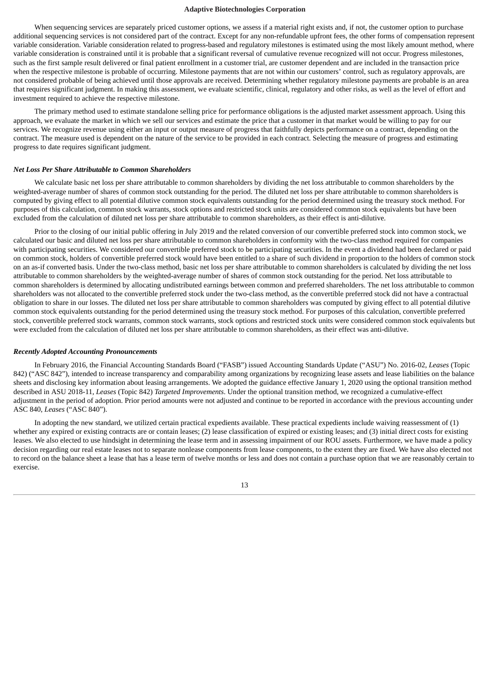When sequencing services are separately priced customer options, we assess if a material right exists and, if not, the customer option to purchase additional sequencing services is not considered part of the contract. Except for any non-refundable upfront fees, the other forms of compensation represent variable consideration. Variable consideration related to progress-based and regulatory milestones is estimated using the most likely amount method, where variable consideration is constrained until it is probable that a significant reversal of cumulative revenue recognized will not occur. Progress milestones, such as the first sample result delivered or final patient enrollment in a customer trial, are customer dependent and are included in the transaction price when the respective milestone is probable of occurring. Milestone payments that are not within our customers' control, such as regulatory approvals, are not considered probable of being achieved until those approvals are received. Determining whether regulatory milestone payments are probable is an area that requires significant judgment. In making this assessment, we evaluate scientific, clinical, regulatory and other risks, as well as the level of effort and investment required to achieve the respective milestone.

The primary method used to estimate standalone selling price for performance obligations is the adjusted market assessment approach. Using this approach, we evaluate the market in which we sell our services and estimate the price that a customer in that market would be willing to pay for our services. We recognize revenue using either an input or output measure of progress that faithfully depicts performance on a contract, depending on the contract. The measure used is dependent on the nature of the service to be provided in each contract. Selecting the measure of progress and estimating progress to date requires significant judgment.

#### *Net Loss Per Share Attributable to Common Shareholders*

We calculate basic net loss per share attributable to common shareholders by dividing the net loss attributable to common shareholders by the weighted-average number of shares of common stock outstanding for the period. The diluted net loss per share attributable to common shareholders is computed by giving effect to all potential dilutive common stock equivalents outstanding for the period determined using the treasury stock method. For purposes of this calculation, common stock warrants, stock options and restricted stock units are considered common stock equivalents but have been excluded from the calculation of diluted net loss per share attributable to common shareholders, as their effect is anti-dilutive.

Prior to the closing of our initial public offering in July 2019 and the related conversion of our convertible preferred stock into common stock, we calculated our basic and diluted net loss per share attributable to common shareholders in conformity with the two-class method required for companies with participating securities. We considered our convertible preferred stock to be participating securities. In the event a dividend had been declared or paid on common stock, holders of convertible preferred stock would have been entitled to a share of such dividend in proportion to the holders of common stock on an as-if converted basis. Under the two-class method, basic net loss per share attributable to common shareholders is calculated by dividing the net loss attributable to common shareholders by the weighted-average number of shares of common stock outstanding for the period. Net loss attributable to common shareholders is determined by allocating undistributed earnings between common and preferred shareholders. The net loss attributable to common shareholders was not allocated to the convertible preferred stock under the two-class method, as the convertible preferred stock did not have a contractual obligation to share in our losses. The diluted net loss per share attributable to common shareholders was computed by giving effect to all potential dilutive common stock equivalents outstanding for the period determined using the treasury stock method. For purposes of this calculation, convertible preferred stock, convertible preferred stock warrants, common stock warrants, stock options and restricted stock units were considered common stock equivalents but were excluded from the calculation of diluted net loss per share attributable to common shareholders, as their effect was anti-dilutive.

#### *Recently Adopted Accounting Pronouncements*

In February 2016, the Financial Accounting Standards Board ("FASB") issued Accounting Standards Update ("ASU") No. 2016-02, *Leases* (Topic 842) ("ASC 842"), intended to increase transparency and comparability among organizations by recognizing lease assets and lease liabilities on the balance sheets and disclosing key information about leasing arrangements. We adopted the guidance effective January 1, 2020 using the optional transition method described in ASU 2018-11*, Leases* (Topic 842) *Targeted Improvements*. Under the optional transition method, we recognized a cumulative-effect adjustment in the period of adoption. Prior period amounts were not adjusted and continue to be reported in accordance with the previous accounting under ASC 840, *Leases* ("ASC 840").

In adopting the new standard, we utilized certain practical expedients available. These practical expedients include waiving reassessment of (1) whether any expired or existing contracts are or contain leases; (2) lease classification of expired or existing leases; and (3) initial direct costs for existing leases. We also elected to use hindsight in determining the lease term and in assessing impairment of our ROU assets. Furthermore, we have made a policy decision regarding our real estate leases not to separate nonlease components from lease components, to the extent they are fixed. We have also elected not to record on the balance sheet a lease that has a lease term of twelve months or less and does not contain a purchase option that we are reasonably certain to exercise.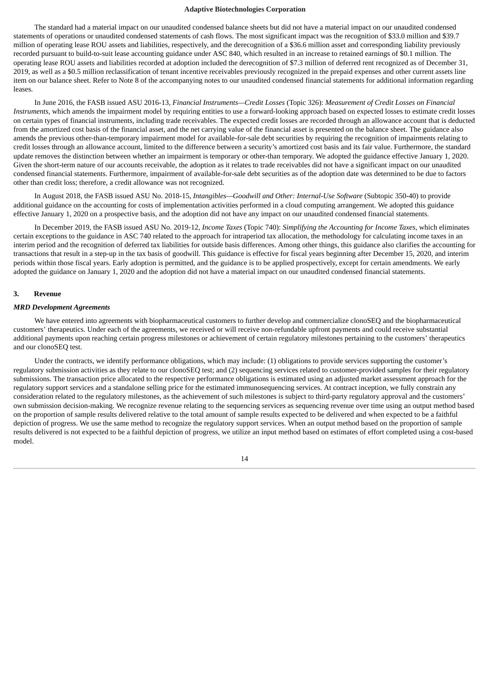The standard had a material impact on our unaudited condensed balance sheets but did not have a material impact on our unaudited condensed statements of operations or unaudited condensed statements of cash flows. The most significant impact was the recognition of \$33.0 million and \$39.7 million of operating lease ROU assets and liabilities, respectively, and the derecognition of a \$36.6 million asset and corresponding liability previously recorded pursuant to build-to-suit lease accounting guidance under ASC 840, which resulted in an increase to retained earnings of \$0.1 million. The operating lease ROU assets and liabilities recorded at adoption included the derecognition of \$7.3 million of deferred rent recognized as of December 31, 2019, as well as a \$0.5 million reclassification of tenant incentive receivables previously recognized in the prepaid expenses and other current assets line item on our balance sheet. Refer to Note 8 of the accompanying notes to our unaudited condensed financial statements for additional information regarding leases.

In June 2016, the FASB issued ASU 2016-13, *Financial Instruments—Credit Losses* (Topic 326): *Measurement of Credit Losses on Financial Instruments*, which amends the impairment model by requiring entities to use a forward-looking approach based on expected losses to estimate credit losses on certain types of financial instruments, including trade receivables. The expected credit losses are recorded through an allowance account that is deducted from the amortized cost basis of the financial asset, and the net carrying value of the financial asset is presented on the balance sheet. The guidance also amends the previous other-than-temporary impairment model for available-for-sale debt securities by requiring the recognition of impairments relating to credit losses through an allowance account, limited to the difference between a security's amortized cost basis and its fair value. Furthermore, the standard update removes the distinction between whether an impairment is temporary or other-than temporary. We adopted the guidance effective January 1, 2020. Given the short-term nature of our accounts receivable, the adoption as it relates to trade receivables did not have a significant impact on our unaudited condensed financial statements. Furthermore, impairment of available-for-sale debt securities as of the adoption date was determined to be due to factors other than credit loss; therefore, a credit allowance was not recognized.

In August 2018, the FASB issued ASU No. 2018-15, *Intangibles—Goodwill and Other: Internal-Use Software* (Subtopic 350-40) to provide additional guidance on the accounting for costs of implementation activities performed in a cloud computing arrangement. We adopted this guidance effective January 1, 2020 on a prospective basis, and the adoption did not have any impact on our unaudited condensed financial statements.

In December 2019, the FASB issued ASU No. 2019-12, *Income Taxes* (Topic 740): *Simplifying the Accounting for Income Taxes*, which eliminates certain exceptions to the guidance in ASC 740 related to the approach for intraperiod tax allocation, the methodology for calculating income taxes in an interim period and the recognition of deferred tax liabilities for outside basis differences. Among other things, this guidance also clarifies the accounting for transactions that result in a step-up in the tax basis of goodwill. This guidance is effective for fiscal years beginning after December 15, 2020, and interim periods within those fiscal years. Early adoption is permitted, and the guidance is to be applied prospectively, except for certain amendments. We early adopted the guidance on January 1, 2020 and the adoption did not have a material impact on our unaudited condensed financial statements.

## **3. Revenue**

#### *MRD Development Agreements*

We have entered into agreements with biopharmaceutical customers to further develop and commercialize clonoSEQ and the biopharmaceutical customers' therapeutics. Under each of the agreements, we received or will receive non-refundable upfront payments and could receive substantial additional payments upon reaching certain progress milestones or achievement of certain regulatory milestones pertaining to the customers' therapeutics and our clonoSEQ test.

Under the contracts, we identify performance obligations, which may include: (1) obligations to provide services supporting the customer's regulatory submission activities as they relate to our clonoSEQ test; and (2) sequencing services related to customer-provided samples for their regulatory submissions. The transaction price allocated to the respective performance obligations is estimated using an adjusted market assessment approach for the regulatory support services and a standalone selling price for the estimated immunosequencing services. At contract inception, we fully constrain any consideration related to the regulatory milestones, as the achievement of such milestones is subject to third-party regulatory approval and the customers' own submission decision-making. We recognize revenue relating to the sequencing services as sequencing revenue over time using an output method based on the proportion of sample results delivered relative to the total amount of sample results expected to be delivered and when expected to be a faithful depiction of progress. We use the same method to recognize the regulatory support services. When an output method based on the proportion of sample results delivered is not expected to be a faithful depiction of progress, we utilize an input method based on estimates of effort completed using a cost-based model.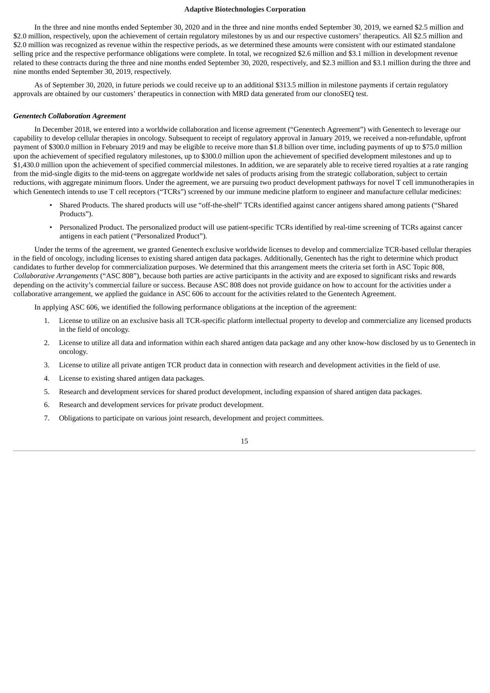In the three and nine months ended September 30, 2020 and in the three and nine months ended September 30, 2019, we earned \$2.5 million and \$2.0 million, respectively, upon the achievement of certain regulatory milestones by us and our respective customers' therapeutics. All \$2.5 million and \$2.0 million was recognized as revenue within the respective periods, as we determined these amounts were consistent with our estimated standalone selling price and the respective performance obligations were complete. In total, we recognized \$2.6 million and \$3.1 million in development revenue related to these contracts during the three and nine months ended September 30, 2020, respectively, and \$2.3 million and \$3.1 million during the three and nine months ended September 30, 2019, respectively.

As of September 30, 2020, in future periods we could receive up to an additional \$313.5 million in milestone payments if certain regulatory approvals are obtained by our customers' therapeutics in connection with MRD data generated from our clonoSEQ test.

#### *Genentech Collaboration Agreement*

In December 2018, we entered into a worldwide collaboration and license agreement ("Genentech Agreement") with Genentech to leverage our capability to develop cellular therapies in oncology. Subsequent to receipt of regulatory approval in January 2019, we received a non-refundable, upfront payment of \$300.0 million in February 2019 and may be eligible to receive more than \$1.8 billion over time, including payments of up to \$75.0 million upon the achievement of specified regulatory milestones, up to \$300.0 million upon the achievement of specified development milestones and up to \$1,430.0 million upon the achievement of specified commercial milestones. In addition, we are separately able to receive tiered royalties at a rate ranging from the mid-single digits to the mid-teens on aggregate worldwide net sales of products arising from the strategic collaboration, subject to certain reductions, with aggregate minimum floors. Under the agreement, we are pursuing two product development pathways for novel T cell immunotherapies in which Genentech intends to use T cell receptors ("TCRs") screened by our immune medicine platform to engineer and manufacture cellular medicines:

- Shared Products. The shared products will use "off-the-shelf" TCRs identified against cancer antigens shared among patients ("Shared Products").
- Personalized Product. The personalized product will use patient-specific TCRs identified by real-time screening of TCRs against cancer antigens in each patient ("Personalized Product").

Under the terms of the agreement, we granted Genentech exclusive worldwide licenses to develop and commercialize TCR-based cellular therapies in the field of oncology, including licenses to existing shared antigen data packages. Additionally, Genentech has the right to determine which product candidates to further develop for commercialization purposes. We determined that this arrangement meets the criteria set forth in ASC Topic 808, *Collaborative Arrangements* ("ASC 808"), because both parties are active participants in the activity and are exposed to significant risks and rewards depending on the activity's commercial failure or success. Because ASC 808 does not provide guidance on how to account for the activities under a collaborative arrangement, we applied the guidance in ASC 606 to account for the activities related to the Genentech Agreement.

In applying ASC 606, we identified the following performance obligations at the inception of the agreement:

- 1. License to utilize on an exclusive basis all TCR-specific platform intellectual property to develop and commercialize any licensed products in the field of oncology.
- 2. License to utilize all data and information within each shared antigen data package and any other know-how disclosed by us to Genentech in oncology.
- 3. License to utilize all private antigen TCR product data in connection with research and development activities in the field of use.
- 4. License to existing shared antigen data packages.
- 5. Research and development services for shared product development, including expansion of shared antigen data packages.
- 6. Research and development services for private product development.
- 7. Obligations to participate on various joint research, development and project committees.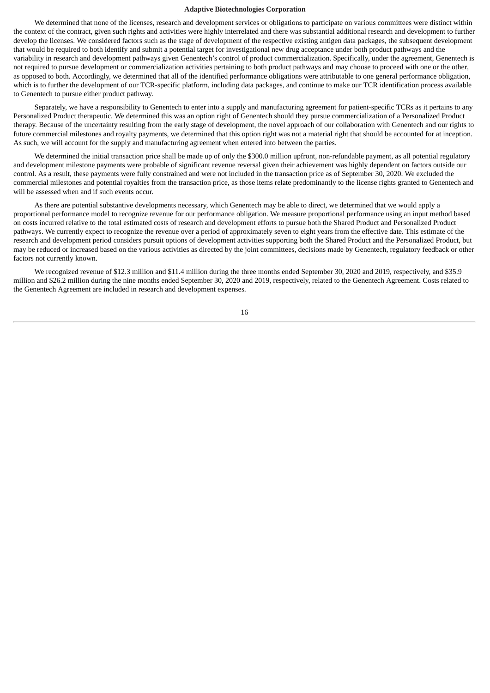We determined that none of the licenses, research and development services or obligations to participate on various committees were distinct within the context of the contract, given such rights and activities were highly interrelated and there was substantial additional research and development to further develop the licenses. We considered factors such as the stage of development of the respective existing antigen data packages, the subsequent development that would be required to both identify and submit a potential target for investigational new drug acceptance under both product pathways and the variability in research and development pathways given Genentech's control of product commercialization. Specifically, under the agreement, Genentech is not required to pursue development or commercialization activities pertaining to both product pathways and may choose to proceed with one or the other, as opposed to both. Accordingly, we determined that all of the identified performance obligations were attributable to one general performance obligation, which is to further the development of our TCR-specific platform, including data packages, and continue to make our TCR identification process available to Genentech to pursue either product pathway.

Separately, we have a responsibility to Genentech to enter into a supply and manufacturing agreement for patient-specific TCRs as it pertains to any Personalized Product therapeutic. We determined this was an option right of Genentech should they pursue commercialization of a Personalized Product therapy. Because of the uncertainty resulting from the early stage of development, the novel approach of our collaboration with Genentech and our rights to future commercial milestones and royalty payments, we determined that this option right was not a material right that should be accounted for at inception. As such, we will account for the supply and manufacturing agreement when entered into between the parties.

We determined the initial transaction price shall be made up of only the \$300.0 million upfront, non-refundable payment, as all potential regulatory and development milestone payments were probable of significant revenue reversal given their achievement was highly dependent on factors outside our control. As a result, these payments were fully constrained and were not included in the transaction price as of September 30, 2020. We excluded the commercial milestones and potential royalties from the transaction price, as those items relate predominantly to the license rights granted to Genentech and will be assessed when and if such events occur.

As there are potential substantive developments necessary, which Genentech may be able to direct, we determined that we would apply a proportional performance model to recognize revenue for our performance obligation. We measure proportional performance using an input method based on costs incurred relative to the total estimated costs of research and development efforts to pursue both the Shared Product and Personalized Product pathways. We currently expect to recognize the revenue over a period of approximately seven to eight years from the effective date. This estimate of the research and development period considers pursuit options of development activities supporting both the Shared Product and the Personalized Product, but may be reduced or increased based on the various activities as directed by the joint committees, decisions made by Genentech, regulatory feedback or other factors not currently known.

We recognized revenue of \$12.3 million and \$11.4 million during the three months ended September 30, 2020 and 2019, respectively, and \$35.9 million and \$26.2 million during the nine months ended September 30, 2020 and 2019, respectively, related to the Genentech Agreement. Costs related to the Genentech Agreement are included in research and development expenses.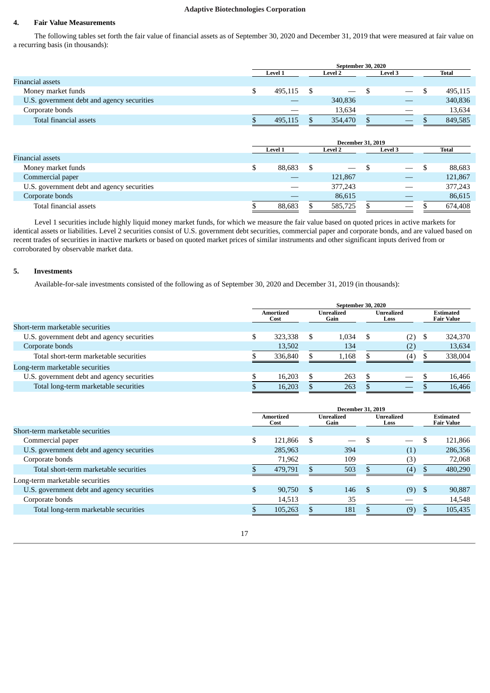## **4. Fair Value Measurements**

The following tables set forth the fair value of financial assets as of September 30, 2020 and December 31, 2019 that were measured at fair value on a recurring basis (in thousands):

|                                            | September 30, 2020 |                           |  |                                 |                |                          |  |         |
|--------------------------------------------|--------------------|---------------------------|--|---------------------------------|----------------|--------------------------|--|---------|
|                                            |                    | Level 1<br><b>Level 2</b> |  |                                 | <b>Level 3</b> |                          |  | Total   |
| Financial assets                           |                    |                           |  |                                 |                |                          |  |         |
| Money market funds                         |                    | 495.115                   |  | $\hspace{0.1mm}-\hspace{0.1mm}$ |                | $\overline{\phantom{m}}$ |  | 495,115 |
| U.S. government debt and agency securities |                    |                           |  | 340,836                         |                |                          |  | 340,836 |
| Corporate bonds                            |                    |                           |  | 13.634                          |                | __                       |  | 13,634  |
| Total financial assets                     |                    | 495.115                   |  | 354,470                         |                | __                       |  | 849,585 |

|                                            | <b>December 31, 2019</b> |        |   |                |  |                 |  |         |
|--------------------------------------------|--------------------------|--------|---|----------------|--|-----------------|--|---------|
|                                            | Level 1                  |        |   | <b>Level 2</b> |  | Level 3         |  | Total   |
| Financial assets                           |                          |        |   |                |  |                 |  |         |
| Money market funds                         |                          | 88,683 | S |                |  |                 |  | 88,683  |
| Commercial paper                           |                          |        |   | 121,867        |  |                 |  | 121,867 |
| U.S. government debt and agency securities |                          |        |   | 377,243        |  |                 |  | 377,243 |
| Corporate bonds                            |                          |        |   | 86,615         |  |                 |  | 86,615  |
| Total financial assets                     |                          | 88.683 |   | 585,725        |  | $\qquad \qquad$ |  | 674.408 |

Level 1 securities include highly liquid money market funds, for which we measure the fair value based on quoted prices in active markets for identical assets or liabilities. Level 2 securities consist of U.S. government debt securities, commercial paper and corporate bonds, and are valued based on recent trades of securities in inactive markets or based on quoted market prices of similar instruments and other significant inputs derived from or corroborated by observable market data.

## **5. Investments**

Available-for-sale investments consisted of the following as of September 30, 2020 and December 31, 2019 (in thousands):

| <b>Estimated</b><br><b>Fair Value</b> |
|---------------------------------------|
|                                       |
| 324,370                               |
| 13,634                                |
| 338,004                               |
|                                       |
| 16,466                                |
| 16,466                                |
|                                       |

|                                            |                   |     | <b>December 31, 2019</b> |      |                    |                                       |
|--------------------------------------------|-------------------|-----|--------------------------|------|--------------------|---------------------------------------|
|                                            | Amortized<br>Cost |     | Unrealized<br>Gain       |      | Unrealized<br>Loss | <b>Estimated</b><br><b>Fair Value</b> |
| Short-term marketable securities           |                   |     |                          |      |                    |                                       |
| Commercial paper                           | 121.866           | S   |                          |      |                    | 121,866                               |
| U.S. government debt and agency securities | 285,963           |     | 394                      |      | (1)                | 286,356                               |
| Corporate bonds                            | 71,962            |     | 109                      |      | (3)                | 72,068                                |
| Total short-term marketable securities     | 479.791           |     | 503                      |      | (4)                | 480,290                               |
| Long-term marketable securities            |                   |     |                          |      |                    |                                       |
| U.S. government debt and agency securities | 90,750            | \$. | 146                      | - \$ | $(9)$ \$           | 90,887                                |
| Corporate bonds                            | 14,513            |     | 35                       |      |                    | 14,548                                |
| Total long-term marketable securities      | 105,263           |     | 181                      |      | (9)                | 105,435                               |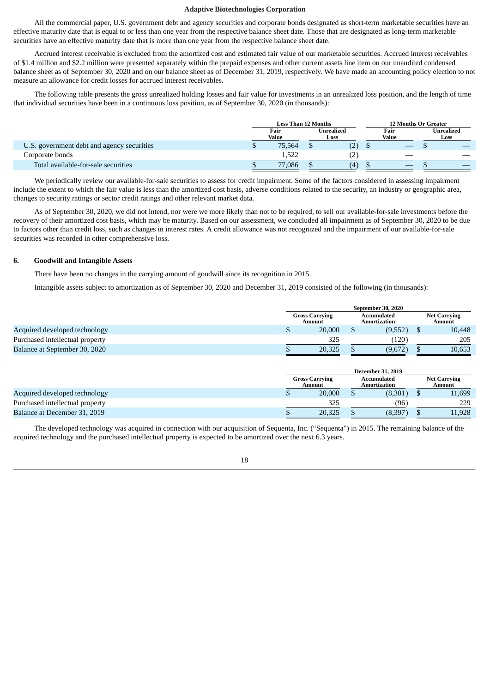All the commercial paper, U.S. government debt and agency securities and corporate bonds designated as short-term marketable securities have an effective maturity date that is equal to or less than one year from the respective balance sheet date. Those that are designated as long-term marketable securities have an effective maturity date that is more than one year from the respective balance sheet date.

Accrued interest receivable is excluded from the amortized cost and estimated fair value of our marketable securities. Accrued interest receivables of \$1.4 million and \$2.2 million were presented separately within the prepaid expenses and other current assets line item on our unaudited condensed balance sheet as of September 30, 2020 and on our balance sheet as of December 31, 2019, respectively. We have made an accounting policy election to not measure an allowance for credit losses for accrued interest receivables.

The following table presents the gross unrealized holding losses and fair value for investments in an unrealized loss position, and the length of time that individual securities have been in a continuous loss position, as of September 30, 2020 (in thousands):

|                                            | <b>Less Than 12 Months</b> |                    | <b>12 Months Or Greater</b> |                    |
|--------------------------------------------|----------------------------|--------------------|-----------------------------|--------------------|
|                                            | Fair<br>Value              | Unrealized<br>Loss | Fair<br>Value               | Unrealized<br>Loss |
| U.S. government debt and agency securities | 75.564                     | (2)                |                             |                    |
| Corporate bonds                            | 1,522                      |                    |                             |                    |
| Total available-for-sale securities        | 77,086                     | (4)                | $-$                         |                    |

We periodically review our available-for-sale securities to assess for credit impairment. Some of the factors considered in assessing impairment include the extent to which the fair value is less than the amortized cost basis, adverse conditions related to the security, an industry or geographic area, changes to security ratings or sector credit ratings and other relevant market data.

As of September 30, 2020, we did not intend, nor were we more likely than not to be required, to sell our available-for-sale investments before the recovery of their amortized cost basis, which may be maturity. Based on our assessment, we concluded all impairment as of September 30, 2020 to be due to factors other than credit loss, such as changes in interest rates. A credit allowance was not recognized and the impairment of our available-for-sale securities was recorded in other comprehensive loss.

## **6. Goodwill and Intangible Assets**

There have been no changes in the carrying amount of goodwill since its recognition in 2015.

Intangible assets subject to amortization as of September 30, 2020 and December 31, 2019 consisted of the following (in thousands):

|                                 | September 30, 2020              |  |                                    |  |                               |
|---------------------------------|---------------------------------|--|------------------------------------|--|-------------------------------|
|                                 | <b>Gross Carrying</b><br>Amount |  | <b>Accumulated</b><br>Amortization |  | <b>Net Carrying</b><br>Amount |
| Acquired developed technology   | 20,000                          |  | (9,552)                            |  | 10,448                        |
| Purchased intellectual property | 325                             |  | (120)                              |  | 205                           |
| Balance at September 30, 2020   | 20,325                          |  | (9,672)                            |  | 10,653                        |

|                                 |                       |        | <b>December 31, 2019</b>    |                               |
|---------------------------------|-----------------------|--------|-----------------------------|-------------------------------|
|                                 | <b>Gross Carrying</b> | Amount | Accumulated<br>Amortization | <b>Net Carrying</b><br>Amount |
| Acquired developed technology   |                       | 20,000 | (8,301)                     | 11,699                        |
| Purchased intellectual property |                       | 325    | (96)                        | 229                           |
| Balance at December 31, 2019    |                       | 20,325 | (8, 397)                    | 11.928                        |

The developed technology was acquired in connection with our acquisition of Sequenta, Inc. ("Sequenta") in 2015. The remaining balance of the acquired technology and the purchased intellectual property is expected to be amortized over the next 6.3 years.

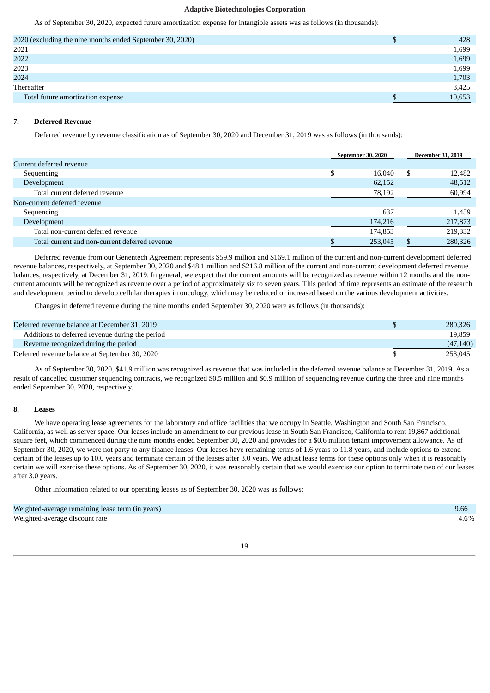As of September 30, 2020, expected future amortization expense for intangible assets was as follows (in thousands):

| 2020 (excluding the nine months ended September 30, 2020)<br>D<br>2021<br>2022<br>2023<br>2024<br>Thereafter<br>Total future amortization expense |  |        |
|---------------------------------------------------------------------------------------------------------------------------------------------------|--|--------|
|                                                                                                                                                   |  | 428    |
|                                                                                                                                                   |  | 1,699  |
|                                                                                                                                                   |  | 1,699  |
|                                                                                                                                                   |  | 1,699  |
|                                                                                                                                                   |  | 1,703  |
|                                                                                                                                                   |  | 3,425  |
|                                                                                                                                                   |  | 10,653 |

## **7. Deferred Revenue**

Deferred revenue by revenue classification as of September 30, 2020 and December 31, 2019 was as follows (in thousands):

|                                                | <b>September 30, 2020</b> |         | <b>December 31, 2019</b> |
|------------------------------------------------|---------------------------|---------|--------------------------|
| Current deferred revenue                       |                           |         |                          |
| Sequencing                                     | \$                        | 16.040  | \$<br>12,482             |
| Development                                    |                           | 62,152  | 48,512                   |
| Total current deferred revenue                 |                           | 78,192  | 60,994                   |
| Non-current deferred revenue                   |                           |         |                          |
| Sequencing                                     |                           | 637     | 1,459                    |
| Development                                    |                           | 174,216 | 217,873                  |
| Total non-current deferred revenue             |                           | 174,853 | 219,332                  |
| Total current and non-current deferred revenue |                           | 253,045 | 280,326                  |

Deferred revenue from our Genentech Agreement represents \$59.9 million and \$169.1 million of the current and non-current development deferred revenue balances, respectively, at September 30, 2020 and \$48.1 million and \$216.8 million of the current and non-current development deferred revenue balances, respectively, at December 31, 2019. In general, we expect that the current amounts will be recognized as revenue within 12 months and the noncurrent amounts will be recognized as revenue over a period of approximately six to seven years. This period of time represents an estimate of the research and development period to develop cellular therapies in oncology, which may be reduced or increased based on the various development activities.

Changes in deferred revenue during the nine months ended September 30, 2020 were as follows (in thousands):

| Deferred revenue balance at December 31, 2019   | 280,326   |
|-------------------------------------------------|-----------|
| Additions to deferred revenue during the period | 19.859    |
| Revenue recognized during the period            | (47, 140) |
| Deferred revenue balance at September 30, 2020  | 253,045   |

As of September 30, 2020, \$41.9 million was recognized as revenue that was included in the deferred revenue balance at December 31, 2019. As a result of cancelled customer sequencing contracts, we recognized \$0.5 million and \$0.9 million of sequencing revenue during the three and nine months ended September 30, 2020, respectively.

## **8. Leases**

We have operating lease agreements for the laboratory and office facilities that we occupy in Seattle, Washington and South San Francisco, California, as well as server space. Our leases include an amendment to our previous lease in South San Francisco, California to rent 19,867 additional square feet, which commenced during the nine months ended September 30, 2020 and provides for a \$0.6 million tenant improvement allowance. As of September 30, 2020, we were not party to any finance leases. Our leases have remaining terms of 1.6 years to 11.8 years, and include options to extend certain of the leases up to 10.0 years and terminate certain of the leases after 3.0 years. We adjust lease terms for these options only when it is reasonably certain we will exercise these options. As of September 30, 2020, it was reasonably certain that we would exercise our option to terminate two of our leases after 3.0 years.

Other information related to our operating leases as of September 30, 2020 was as follows:

| Weighted-average remaining lease term (in years) | 9.66 |
|--------------------------------------------------|------|
| Weighted-average discount rate                   | 4.6% |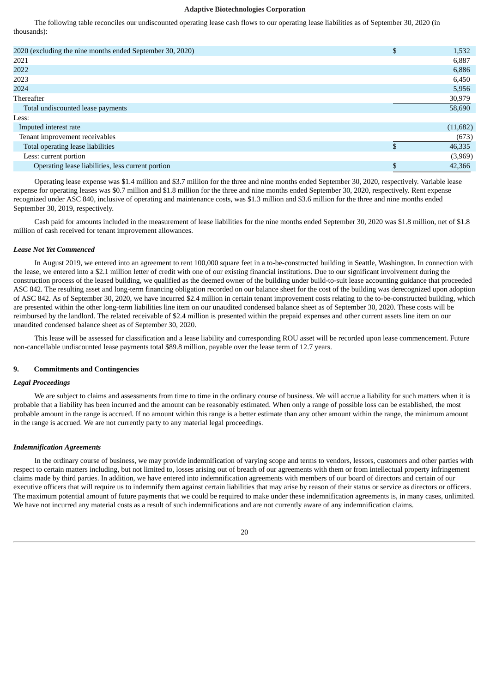The following table reconciles our undiscounted operating lease cash flows to our operating lease liabilities as of September 30, 2020 (in thousands):

| 2020 (excluding the nine months ended September 30, 2020) | \$<br>1,532  |
|-----------------------------------------------------------|--------------|
| 2021                                                      | 6,887        |
| 2022                                                      | 6,886        |
| 2023                                                      | 6,450        |
| 2024                                                      | 5,956        |
| <b>Thereafter</b>                                         | 30,979       |
| Total undiscounted lease payments                         | 58,690       |
| Less:                                                     |              |
| Imputed interest rate                                     | (11,682)     |
| Tenant improvement receivables                            | (673)        |
| Total operating lease liabilities                         | \$<br>46,335 |
| Less: current portion                                     | (3,969)      |
| Operating lease liabilities, less current portion         | 42,366       |
|                                                           |              |

Operating lease expense was \$1.4 million and \$3.7 million for the three and nine months ended September 30, 2020, respectively. Variable lease expense for operating leases was \$0.7 million and \$1.8 million for the three and nine months ended September 30, 2020, respectively. Rent expense recognized under ASC 840, inclusive of operating and maintenance costs, was \$1.3 million and \$3.6 million for the three and nine months ended September 30, 2019, respectively.

Cash paid for amounts included in the measurement of lease liabilities for the nine months ended September 30, 2020 was \$1.8 million, net of \$1.8 million of cash received for tenant improvement allowances.

## *Lease Not Yet Commenced*

In August 2019, we entered into an agreement to rent 100,000 square feet in a to-be-constructed building in Seattle, Washington. In connection with the lease, we entered into a \$2.1 million letter of credit with one of our existing financial institutions. Due to our significant involvement during the construction process of the leased building, we qualified as the deemed owner of the building under build-to-suit lease accounting guidance that proceeded ASC 842. The resulting asset and long-term financing obligation recorded on our balance sheet for the cost of the building was derecognized upon adoption of ASC 842. As of September 30, 2020, we have incurred \$2.4 million in certain tenant improvement costs relating to the to-be-constructed building, which are presented within the other long-term liabilities line item on our unaudited condensed balance sheet as of September 30, 2020. These costs will be reimbursed by the landlord. The related receivable of \$2.4 million is presented within the prepaid expenses and other current assets line item on our unaudited condensed balance sheet as of September 30, 2020.

This lease will be assessed for classification and a lease liability and corresponding ROU asset will be recorded upon lease commencement. Future non-cancellable undiscounted lease payments total \$89.8 million, payable over the lease term of 12.7 years.

## **9. Commitments and Contingencies**

## *Legal Proceedings*

We are subject to claims and assessments from time to time in the ordinary course of business. We will accrue a liability for such matters when it is probable that a liability has been incurred and the amount can be reasonably estimated. When only a range of possible loss can be established, the most probable amount in the range is accrued. If no amount within this range is a better estimate than any other amount within the range, the minimum amount in the range is accrued. We are not currently party to any material legal proceedings.

#### *Indemnification Agreements*

In the ordinary course of business, we may provide indemnification of varying scope and terms to vendors, lessors, customers and other parties with respect to certain matters including, but not limited to, losses arising out of breach of our agreements with them or from intellectual property infringement claims made by third parties. In addition, we have entered into indemnification agreements with members of our board of directors and certain of our executive officers that will require us to indemnify them against certain liabilities that may arise by reason of their status or service as directors or officers. The maximum potential amount of future payments that we could be required to make under these indemnification agreements is, in many cases, unlimited. We have not incurred any material costs as a result of such indemnifications and are not currently aware of any indemnification claims.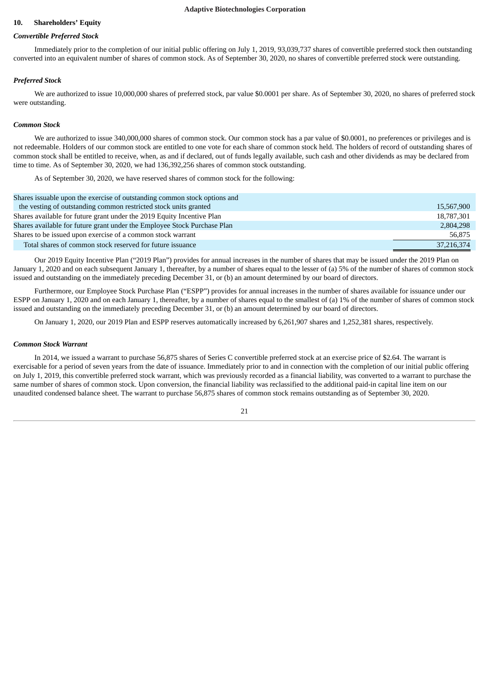## **10. Shareholders' Equity**

#### *Convertible Preferred Stock*

Immediately prior to the completion of our initial public offering on July 1, 2019, 93,039,737 shares of convertible preferred stock then outstanding converted into an equivalent number of shares of common stock. As of September 30, 2020, no shares of convertible preferred stock were outstanding.

#### *Preferred Stock*

We are authorized to issue 10,000,000 shares of preferred stock, par value \$0.0001 per share. As of September 30, 2020, no shares of preferred stock were outstanding.

#### *Common Stock*

We are authorized to issue 340,000,000 shares of common stock. Our common stock has a par value of \$0.0001, no preferences or privileges and is not redeemable. Holders of our common stock are entitled to one vote for each share of common stock held. The holders of record of outstanding shares of common stock shall be entitled to receive, when, as and if declared, out of funds legally available, such cash and other dividends as may be declared from time to time. As of September 30, 2020, we had 136,392,256 shares of common stock outstanding.

As of September 30, 2020, we have reserved shares of common stock for the following:

| Shares issuable upon the exercise of outstanding common stock options and |            |
|---------------------------------------------------------------------------|------------|
| the vesting of outstanding common restricted stock units granted          | 15,567,900 |
| Shares available for future grant under the 2019 Equity Incentive Plan    | 18,787,301 |
| Shares available for future grant under the Employee Stock Purchase Plan  | 2,804,298  |
| Shares to be issued upon exercise of a common stock warrant               | 56,875     |
| Total shares of common stock reserved for future issuance                 | 37,216,374 |

Our 2019 Equity Incentive Plan ("2019 Plan") provides for annual increases in the number of shares that may be issued under the 2019 Plan on January 1, 2020 and on each subsequent January 1, thereafter, by a number of shares equal to the lesser of (a) 5% of the number of shares of common stock issued and outstanding on the immediately preceding December 31, or (b) an amount determined by our board of directors.

Furthermore, our Employee Stock Purchase Plan ("ESPP") provides for annual increases in the number of shares available for issuance under our ESPP on January 1, 2020 and on each January 1, thereafter, by a number of shares equal to the smallest of (a) 1% of the number of shares of common stock issued and outstanding on the immediately preceding December 31, or (b) an amount determined by our board of directors.

On January 1, 2020, our 2019 Plan and ESPP reserves automatically increased by 6,261,907 shares and 1,252,381 shares, respectively.

#### *Common Stock Warrant*

In 2014, we issued a warrant to purchase 56,875 shares of Series C convertible preferred stock at an exercise price of \$2.64. The warrant is exercisable for a period of seven years from the date of issuance. Immediately prior to and in connection with the completion of our initial public offering on July 1, 2019, this convertible preferred stock warrant, which was previously recorded as a financial liability, was converted to a warrant to purchase the same number of shares of common stock. Upon conversion, the financial liability was reclassified to the additional paid-in capital line item on our unaudited condensed balance sheet. The warrant to purchase 56,875 shares of common stock remains outstanding as of September 30, 2020.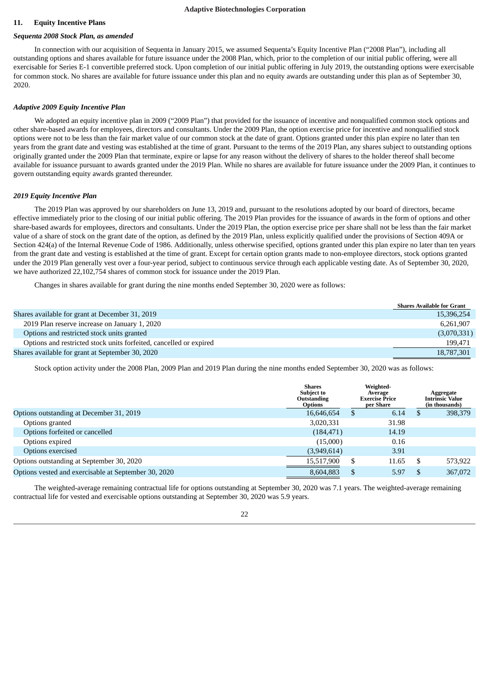## **11. Equity Incentive Plans**

#### *Sequenta 2008 Stock Plan, as amended*

In connection with our acquisition of Sequenta in January 2015, we assumed Sequenta's Equity Incentive Plan ("2008 Plan"), including all outstanding options and shares available for future issuance under the 2008 Plan, which, prior to the completion of our initial public offering, were all exercisable for Series E-1 convertible preferred stock. Upon completion of our initial public offering in July 2019, the outstanding options were exercisable for common stock. No shares are available for future issuance under this plan and no equity awards are outstanding under this plan as of September 30, 2020.

#### *Adaptive 2009 Equity Incentive Plan*

We adopted an equity incentive plan in 2009 ("2009 Plan") that provided for the issuance of incentive and nonqualified common stock options and other share-based awards for employees, directors and consultants. Under the 2009 Plan, the option exercise price for incentive and nonqualified stock options were not to be less than the fair market value of our common stock at the date of grant. Options granted under this plan expire no later than ten years from the grant date and vesting was established at the time of grant. Pursuant to the terms of the 2019 Plan, any shares subject to outstanding options originally granted under the 2009 Plan that terminate, expire or lapse for any reason without the delivery of shares to the holder thereof shall become available for issuance pursuant to awards granted under the 2019 Plan. While no shares are available for future issuance under the 2009 Plan, it continues to govern outstanding equity awards granted thereunder.

## *2019 Equity Incentive Plan*

The 2019 Plan was approved by our shareholders on June 13, 2019 and, pursuant to the resolutions adopted by our board of directors, became effective immediately prior to the closing of our initial public offering. The 2019 Plan provides for the issuance of awards in the form of options and other share-based awards for employees, directors and consultants. Under the 2019 Plan, the option exercise price per share shall not be less than the fair market value of a share of stock on the grant date of the option, as defined by the 2019 Plan, unless explicitly qualified under the provisions of Section 409A or Section 424(a) of the Internal Revenue Code of 1986. Additionally, unless otherwise specified, options granted under this plan expire no later than ten years from the grant date and vesting is established at the time of grant. Except for certain option grants made to non-employee directors, stock options granted under the 2019 Plan generally vest over a four-year period, subject to continuous service through each applicable vesting date. As of September 30, 2020, we have authorized 22,102,754 shares of common stock for issuance under the 2019 Plan.

Changes in shares available for grant during the nine months ended September 30, 2020 were as follows:

|                                                                    | <b>Shares Available for Grant</b> |
|--------------------------------------------------------------------|-----------------------------------|
| Shares available for grant at December 31, 2019                    | 15,396,254                        |
| 2019 Plan reserve increase on January 1, 2020                      | 6,261,907                         |
| Options and restricted stock units granted                         | (3,070,331)                       |
| Options and restricted stock units forfeited, cancelled or expired | 199,471                           |
| Shares available for grant at September 30, 2020                   | 18,787,301                        |

Stock option activity under the 2008 Plan, 2009 Plan and 2019 Plan during the nine months ended September 30, 2020 was as follows:

|                                                      | <b>Shares</b><br><b>Subject to</b><br>Outstanding<br><b>Options</b> |    | Weighted-<br>Average<br><b>Exercise Price</b><br>per Share | Aggregate<br><b>Intrinsic Value</b><br>(in thousands) |         |  |
|------------------------------------------------------|---------------------------------------------------------------------|----|------------------------------------------------------------|-------------------------------------------------------|---------|--|
| Options outstanding at December 31, 2019             | 16,646,654                                                          | S  | 6.14                                                       |                                                       | 398,379 |  |
| Options granted                                      | 3,020,331                                                           |    | 31.98                                                      |                                                       |         |  |
| Options forfeited or cancelled                       | (184, 471)                                                          |    | 14.19                                                      |                                                       |         |  |
| Options expired                                      | (15,000)                                                            |    | 0.16                                                       |                                                       |         |  |
| Options exercised                                    | (3,949,614)                                                         |    | 3.91                                                       |                                                       |         |  |
| Options outstanding at September 30, 2020            | 15,517,900                                                          | \$ | 11.65                                                      | -S                                                    | 573,922 |  |
| Options vested and exercisable at September 30, 2020 | 8,604,883                                                           | S  | 5.97                                                       | \$.                                                   | 367,072 |  |
|                                                      |                                                                     |    |                                                            |                                                       |         |  |

The weighted-average remaining contractual life for options outstanding at September 30, 2020 was 7.1 years. The weighted-average remaining contractual life for vested and exercisable options outstanding at September 30, 2020 was 5.9 years.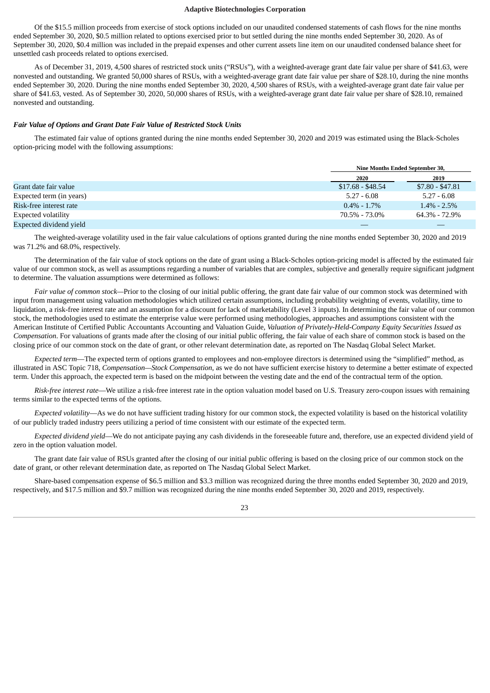Of the \$15.5 million proceeds from exercise of stock options included on our unaudited condensed statements of cash flows for the nine months ended September 30, 2020, \$0.5 million related to options exercised prior to but settled during the nine months ended September 30, 2020. As of September 30, 2020, \$0.4 million was included in the prepaid expenses and other current assets line item on our unaudited condensed balance sheet for unsettled cash proceeds related to options exercised.

As of December 31, 2019, 4,500 shares of restricted stock units ("RSUs"), with a weighted-average grant date fair value per share of \$41.63, were nonvested and outstanding. We granted 50,000 shares of RSUs, with a weighted-average grant date fair value per share of \$28.10, during the nine months ended September 30, 2020. During the nine months ended September 30, 2020, 4,500 shares of RSUs, with a weighted-average grant date fair value per share of \$41.63, vested. As of September 30, 2020, 50,000 shares of RSUs, with a weighted-average grant date fair value per share of \$28.10, remained nonvested and outstanding.

### *Fair Value of Options and Grant Date Fair Value of Restricted Stock Units*

The estimated fair value of options granted during the nine months ended September 30, 2020 and 2019 was estimated using the Black-Scholes option-pricing model with the following assumptions:

|                          | Nine Months Ended September 30, |                  |
|--------------------------|---------------------------------|------------------|
|                          | 2020                            | 2019             |
| Grant date fair value    | $$17.68 - $48.54$               | $$7.80 - $47.81$ |
| Expected term (in years) | $5.27 - 6.08$                   | $5.27 - 6.08$    |
| Risk-free interest rate  | $0.4\% - 1.7\%$                 | $1.4\% - 2.5\%$  |
| Expected volatility      | 70.5% - 73.0%                   | 64.3% - 72.9%    |
| Expected dividend yield  |                                 |                  |

The weighted-average volatility used in the fair value calculations of options granted during the nine months ended September 30, 2020 and 2019 was 71.2% and 68.0%, respectively.

The determination of the fair value of stock options on the date of grant using a Black-Scholes option-pricing model is affected by the estimated fair value of our common stock, as well as assumptions regarding a number of variables that are complex, subjective and generally require significant judgment to determine. The valuation assumptions were determined as follows:

*Fair value of common stock—*Prior to the closing of our initial public offering, the grant date fair value of our common stock was determined with input from management using valuation methodologies which utilized certain assumptions, including probability weighting of events, volatility, time to liquidation, a risk-free interest rate and an assumption for a discount for lack of marketability (Level 3 inputs). In determining the fair value of our common stock, the methodologies used to estimate the enterprise value were performed using methodologies, approaches and assumptions consistent with the American Institute of Certified Public Accountants Accounting and Valuation Guide, *Valuation of Privately-Held-Company Equity Securities Issued as Compensation*. For valuations of grants made after the closing of our initial public offering, the fair value of each share of common stock is based on the closing price of our common stock on the date of grant, or other relevant determination date, as reported on The Nasdaq Global Select Market.

*Expected term*—The expected term of options granted to employees and non-employee directors is determined using the "simplified" method, as illustrated in ASC Topic 718, *Compensation—Stock Compensation*, as we do not have sufficient exercise history to determine a better estimate of expected term. Under this approach, the expected term is based on the midpoint between the vesting date and the end of the contractual term of the option.

*Risk-free interest rate*—We utilize a risk-free interest rate in the option valuation model based on U.S. Treasury zero-coupon issues with remaining terms similar to the expected terms of the options.

*Expected volatility*—As we do not have sufficient trading history for our common stock, the expected volatility is based on the historical volatility of our publicly traded industry peers utilizing a period of time consistent with our estimate of the expected term.

*Expected dividend yield*—We do not anticipate paying any cash dividends in the foreseeable future and, therefore, use an expected dividend yield of zero in the option valuation model.

The grant date fair value of RSUs granted after the closing of our initial public offering is based on the closing price of our common stock on the date of grant, or other relevant determination date, as reported on The Nasdaq Global Select Market.

Share-based compensation expense of \$6.5 million and \$3.3 million was recognized during the three months ended September 30, 2020 and 2019, respectively, and \$17.5 million and \$9.7 million was recognized during the nine months ended September 30, 2020 and 2019, respectively.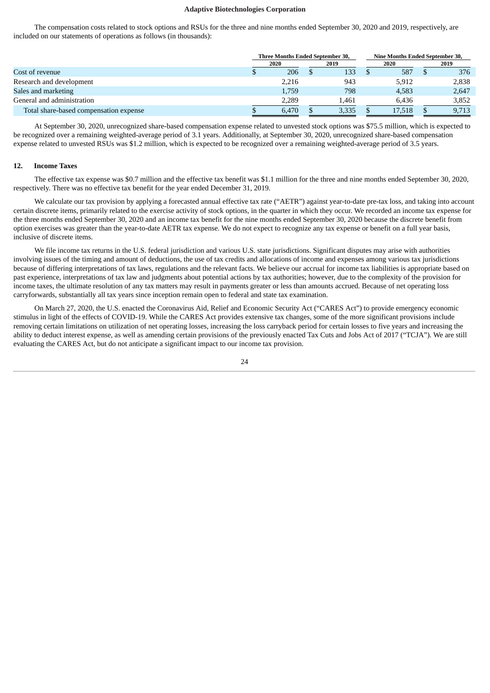The compensation costs related to stock options and RSUs for the three and nine months ended September 30, 2020 and 2019, respectively, are included on our statements of operations as follows (in thousands):

|                                        | <b>Three Months Ended September 30.</b> |       |  |       |      | Nine Months Ended September 30, |  |       |  |
|----------------------------------------|-----------------------------------------|-------|--|-------|------|---------------------------------|--|-------|--|
|                                        | 2020                                    |       |  | 2019  | 2020 |                                 |  | 2019  |  |
| Cost of revenue                        |                                         | 206   |  | 133   |      | 587                             |  | 376   |  |
| Research and development               |                                         | 2,216 |  | 943   |      | 5,912                           |  | 2,838 |  |
| Sales and marketing                    |                                         | 1,759 |  | 798   |      | 4,583                           |  | 2,647 |  |
| General and administration             |                                         | 2.289 |  | 1.461 |      | 6.436                           |  | 3,852 |  |
| Total share-based compensation expense |                                         | 6.470 |  | 3,335 |      | 17,518                          |  | 9,713 |  |

At September 30, 2020, unrecognized share-based compensation expense related to unvested stock options was \$75.5 million, which is expected to be recognized over a remaining weighted-average period of 3.1 years. Additionally, at September 30, 2020, unrecognized share-based compensation expense related to unvested RSUs was \$1.2 million, which is expected to be recognized over a remaining weighted-average period of 3.5 years.

## **12. Income Taxes**

The effective tax expense was \$0.7 million and the effective tax benefit was \$1.1 million for the three and nine months ended September 30, 2020, respectively. There was no effective tax benefit for the year ended December 31, 2019.

We calculate our tax provision by applying a forecasted annual effective tax rate ("AETR") against year-to-date pre-tax loss, and taking into account certain discrete items, primarily related to the exercise activity of stock options, in the quarter in which they occur. We recorded an income tax expense for the three months ended September 30, 2020 and an income tax benefit for the nine months ended September 30, 2020 because the discrete benefit from option exercises was greater than the year-to-date AETR tax expense. We do not expect to recognize any tax expense or benefit on a full year basis, inclusive of discrete items.

We file income tax returns in the U.S. federal jurisdiction and various U.S. state jurisdictions. Significant disputes may arise with authorities involving issues of the timing and amount of deductions, the use of tax credits and allocations of income and expenses among various tax jurisdictions because of differing interpretations of tax laws, regulations and the relevant facts. We believe our accrual for income tax liabilities is appropriate based on past experience, interpretations of tax law and judgments about potential actions by tax authorities; however, due to the complexity of the provision for income taxes, the ultimate resolution of any tax matters may result in payments greater or less than amounts accrued. Because of net operating loss carryforwards, substantially all tax years since inception remain open to federal and state tax examination.

On March 27, 2020, the U.S. enacted the Coronavirus Aid, Relief and Economic Security Act ("CARES Act") to provide emergency economic stimulus in light of the effects of COVID-19. While the CARES Act provides extensive tax changes, some of the more significant provisions include removing certain limitations on utilization of net operating losses, increasing the loss carryback period for certain losses to five years and increasing the ability to deduct interest expense, as well as amending certain provisions of the previously enacted Tax Cuts and Jobs Act of 2017 ("TCJA"). We are still evaluating the CARES Act, but do not anticipate a significant impact to our income tax provision.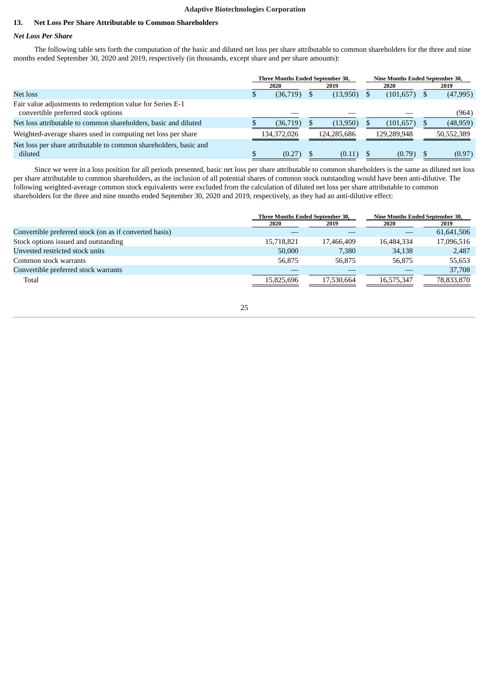## **13. Net Loss Per Share Attributable to Common Shareholders**

## *Net Loss Per Share*

The following table sets forth the computation of the basic and diluted net loss per share attributable to common shareholders for the three and nine months ended September 30, 2020 and 2019, respectively (in thousands, except share and per share amounts):

|                                                                                                  |              | Three Months Ended September 30, |  |             | <b>Nine Months Ended September 30,</b> |      |            |  |
|--------------------------------------------------------------------------------------------------|--------------|----------------------------------|--|-------------|----------------------------------------|------|------------|--|
|                                                                                                  | 2020<br>2019 |                                  |  | 2020        |                                        | 2019 |            |  |
| Net loss                                                                                         |              | (36,719)                         |  | (13,950)    | (101,657)                              |      | (47,995)   |  |
| Fair value adjustments to redemption value for Series E-1<br>convertible preferred stock options |              |                                  |  |             |                                        |      | (964)      |  |
|                                                                                                  |              |                                  |  |             |                                        |      |            |  |
| Net loss attributable to common shareholders, basic and diluted                                  |              | (36,719)                         |  | (13,950)    | (101, 657)                             |      | (48, 959)  |  |
| Weighted-average shares used in computing net loss per share                                     |              | 134,372,026                      |  | 124.285.686 | 129,289,948                            |      | 50,552,389 |  |
| Net loss per share attributable to common shareholders, basic and                                |              |                                  |  |             |                                        |      |            |  |
| diluted                                                                                          |              | (0.27)                           |  | (0.11)      | (0.79)                                 |      | (0.97)     |  |

Since we were in a loss position for all periods presented, basic net loss per share attributable to common shareholders is the same as diluted net loss per share attributable to common shareholders, as the inclusion of all potential shares of common stock outstanding would have been anti-dilutive. The following weighted-average common stock equivalents were excluded from the calculation of diluted net loss per share attributable to common shareholders for the three and nine months ended September 30, 2020 and 2019, respectively, as they had an anti-dilutive effect:

| 2020       | 2019       | 2020                             | 2019                            |  |
|------------|------------|----------------------------------|---------------------------------|--|
|            |            |                                  | 61,641,506                      |  |
| 15,718,821 | 17,466,409 | 16,484,334                       | 17,096,516                      |  |
| 50,000     | 7,380      | 34,138                           | 2,487                           |  |
| 56.875     | 56,875     | 56,875                           | 55,653                          |  |
|            |            |                                  | 37,708                          |  |
| 15,825,696 | 17.530.664 | 16,575,347                       | 78,833,870                      |  |
|            |            | Three Months Ended September 30, | Nine Months Ended September 30, |  |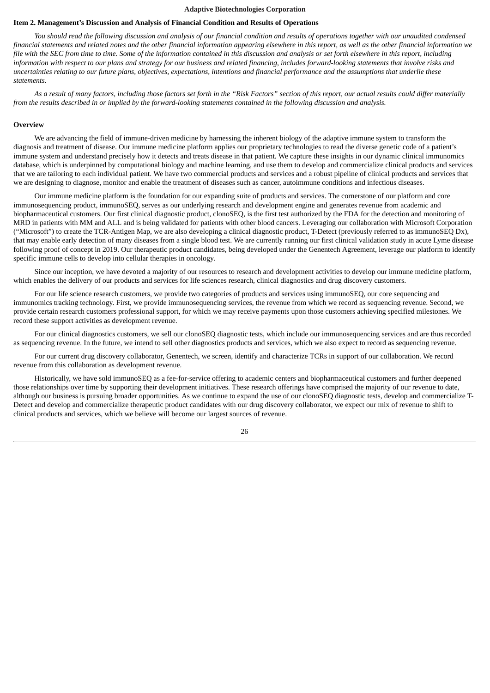## <span id="page-25-0"></span>**Item 2. Management's Discussion and Analysis of Financial Condition and Results of Operations**

You should read the following discussion and analysis of our financial condition and results of operations together with our unaudited condensed financial statements and related notes and the other financial information appearing elsewhere in this report, as well as the other financial information we file with the SEC from time to time. Some of the information contained in this discussion and analysis or set forth elsewhere in this report, including information with respect to our plans and strategy for our business and related financing, includes forward-looking statements that involve risks and uncertainties relating to our future plans, objectives, expectations, intentions and financial performance and the assumptions that underlie these *statements.*

As a result of many factors, including those factors set forth in the "Risk Factors" section of this report, our actual results could differ materially from the results described in or implied by the forward-looking statements contained in the following discussion and analysis.

#### **Overview**

We are advancing the field of immune-driven medicine by harnessing the inherent biology of the adaptive immune system to transform the diagnosis and treatment of disease. Our immune medicine platform applies our proprietary technologies to read the diverse genetic code of a patient's immune system and understand precisely how it detects and treats disease in that patient. We capture these insights in our dynamic clinical immunomics database, which is underpinned by computational biology and machine learning, and use them to develop and commercialize clinical products and services that we are tailoring to each individual patient. We have two commercial products and services and a robust pipeline of clinical products and services that we are designing to diagnose, monitor and enable the treatment of diseases such as cancer, autoimmune conditions and infectious diseases.

Our immune medicine platform is the foundation for our expanding suite of products and services. The cornerstone of our platform and core immunosequencing product, immunoSEQ, serves as our underlying research and development engine and generates revenue from academic and biopharmaceutical customers. Our first clinical diagnostic product, clonoSEQ, is the first test authorized by the FDA for the detection and monitoring of MRD in patients with MM and ALL and is being validated for patients with other blood cancers. Leveraging our collaboration with Microsoft Corporation ("Microsoft") to create the TCR-Antigen Map, we are also developing a clinical diagnostic product, T-Detect (previously referred to as immunoSEQ Dx), that may enable early detection of many diseases from a single blood test. We are currently running our first clinical validation study in acute Lyme disease following proof of concept in 2019. Our therapeutic product candidates, being developed under the Genentech Agreement, leverage our platform to identify specific immune cells to develop into cellular therapies in oncology.

Since our inception, we have devoted a majority of our resources to research and development activities to develop our immune medicine platform, which enables the delivery of our products and services for life sciences research, clinical diagnostics and drug discovery customers.

For our life science research customers, we provide two categories of products and services using immunoSEQ, our core sequencing and immunomics tracking technology. First, we provide immunosequencing services, the revenue from which we record as sequencing revenue. Second, we provide certain research customers professional support, for which we may receive payments upon those customers achieving specified milestones. We record these support activities as development revenue.

For our clinical diagnostics customers, we sell our clonoSEQ diagnostic tests, which include our immunosequencing services and are thus recorded as sequencing revenue. In the future, we intend to sell other diagnostics products and services, which we also expect to record as sequencing revenue.

For our current drug discovery collaborator, Genentech, we screen, identify and characterize TCRs in support of our collaboration. We record revenue from this collaboration as development revenue.

Historically, we have sold immunoSEQ as a fee-for-service offering to academic centers and biopharmaceutical customers and further deepened those relationships over time by supporting their development initiatives. These research offerings have comprised the majority of our revenue to date, although our business is pursuing broader opportunities. As we continue to expand the use of our clonoSEQ diagnostic tests, develop and commercialize T-Detect and develop and commercialize therapeutic product candidates with our drug discovery collaborator, we expect our mix of revenue to shift to clinical products and services, which we believe will become our largest sources of revenue.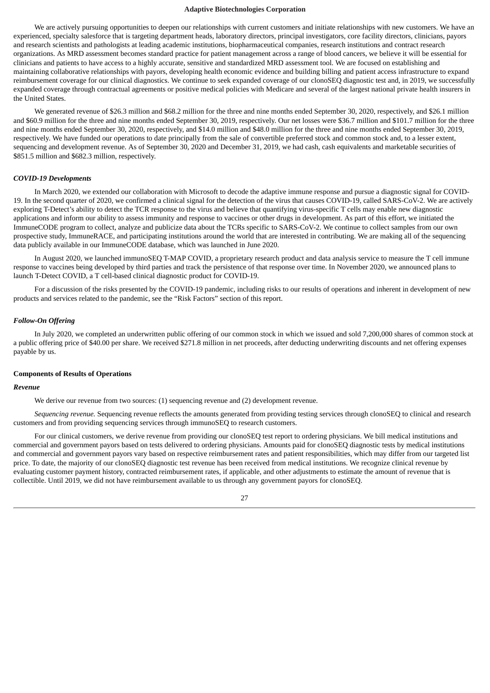We are actively pursuing opportunities to deepen our relationships with current customers and initiate relationships with new customers. We have an experienced, specialty salesforce that is targeting department heads, laboratory directors, principal investigators, core facility directors, clinicians, payors and research scientists and pathologists at leading academic institutions, biopharmaceutical companies, research institutions and contract research organizations. As MRD assessment becomes standard practice for patient management across a range of blood cancers, we believe it will be essential for clinicians and patients to have access to a highly accurate, sensitive and standardized MRD assessment tool. We are focused on establishing and maintaining collaborative relationships with payors, developing health economic evidence and building billing and patient access infrastructure to expand reimbursement coverage for our clinical diagnostics. We continue to seek expanded coverage of our clonoSEQ diagnostic test and, in 2019, we successfully expanded coverage through contractual agreements or positive medical policies with Medicare and several of the largest national private health insurers in the United States.

We generated revenue of \$26.3 million and \$68.2 million for the three and nine months ended September 30, 2020, respectively, and \$26.1 million and \$60.9 million for the three and nine months ended September 30, 2019, respectively. Our net losses were \$36.7 million and \$101.7 million for the three and nine months ended September 30, 2020, respectively, and \$14.0 million and \$48.0 million for the three and nine months ended September 30, 2019, respectively. We have funded our operations to date principally from the sale of convertible preferred stock and common stock and, to a lesser extent, sequencing and development revenue. As of September 30, 2020 and December 31, 2019, we had cash, cash equivalents and marketable securities of \$851.5 million and \$682.3 million, respectively.

#### *COVID-19 Developments*

In March 2020, we extended our collaboration with Microsoft to decode the adaptive immune response and pursue a diagnostic signal for COVID-19. In the second quarter of 2020, we confirmed a clinical signal for the detection of the virus that causes COVID-19, called SARS-CoV-2. We are actively exploring T-Detect's ability to detect the TCR response to the virus and believe that quantifying virus-specific T cells may enable new diagnostic applications and inform our ability to assess immunity and response to vaccines or other drugs in development. As part of this effort, we initiated the ImmuneCODE program to collect, analyze and publicize data about the TCRs specific to SARS-CoV-2. We continue to collect samples from our own prospective study, ImmuneRACE, and participating institutions around the world that are interested in contributing. We are making all of the sequencing data publicly available in our ImmuneCODE database, which was launched in June 2020.

In August 2020, we launched immunoSEQ T-MAP COVID, a proprietary research product and data analysis service to measure the T cell immune response to vaccines being developed by third parties and track the persistence of that response over time. In November 2020, we announced plans to launch T-Detect COVID, a T cell-based clinical diagnostic product for COVID-19.

For a discussion of the risks presented by the COVID-19 pandemic, including risks to our results of operations and inherent in development of new products and services related to the pandemic, see the "Risk Factors" section of this report.

## *Follow-On Offering*

In July 2020, we completed an underwritten public offering of our common stock in which we issued and sold 7,200,000 shares of common stock at a public offering price of \$40.00 per share. We received \$271.8 million in net proceeds, after deducting underwriting discounts and net offering expenses payable by us.

#### **Components of Results of Operations**

#### *Revenue*

We derive our revenue from two sources: (1) sequencing revenue and (2) development revenue.

*Sequencing revenue.* Sequencing revenue reflects the amounts generated from providing testing services through clonoSEQ to clinical and research customers and from providing sequencing services through immunoSEQ to research customers.

For our clinical customers, we derive revenue from providing our clonoSEQ test report to ordering physicians. We bill medical institutions and commercial and government payors based on tests delivered to ordering physicians. Amounts paid for clonoSEQ diagnostic tests by medical institutions and commercial and government payors vary based on respective reimbursement rates and patient responsibilities, which may differ from our targeted list price. To date, the majority of our clonoSEQ diagnostic test revenue has been received from medical institutions. We recognize clinical revenue by evaluating customer payment history, contracted reimbursement rates, if applicable, and other adjustments to estimate the amount of revenue that is collectible. Until 2019, we did not have reimbursement available to us through any government payors for clonoSEQ.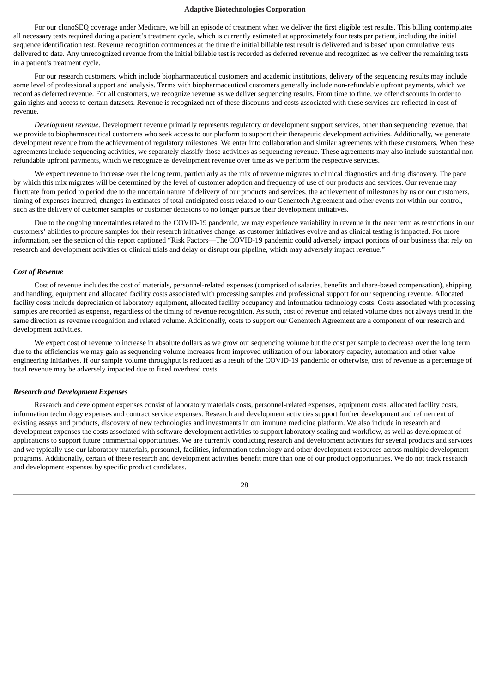For our clonoSEQ coverage under Medicare, we bill an episode of treatment when we deliver the first eligible test results. This billing contemplates all necessary tests required during a patient's treatment cycle, which is currently estimated at approximately four tests per patient, including the initial sequence identification test. Revenue recognition commences at the time the initial billable test result is delivered and is based upon cumulative tests delivered to date. Any unrecognized revenue from the initial billable test is recorded as deferred revenue and recognized as we deliver the remaining tests in a patient's treatment cycle.

For our research customers, which include biopharmaceutical customers and academic institutions, delivery of the sequencing results may include some level of professional support and analysis. Terms with biopharmaceutical customers generally include non-refundable upfront payments, which we record as deferred revenue. For all customers, we recognize revenue as we deliver sequencing results. From time to time, we offer discounts in order to gain rights and access to certain datasets. Revenue is recognized net of these discounts and costs associated with these services are reflected in cost of revenue.

*Development revenue*. Development revenue primarily represents regulatory or development support services, other than sequencing revenue, that we provide to biopharmaceutical customers who seek access to our platform to support their therapeutic development activities. Additionally, we generate development revenue from the achievement of regulatory milestones. We enter into collaboration and similar agreements with these customers. When these agreements include sequencing activities, we separately classify those activities as sequencing revenue. These agreements may also include substantial nonrefundable upfront payments, which we recognize as development revenue over time as we perform the respective services.

We expect revenue to increase over the long term, particularly as the mix of revenue migrates to clinical diagnostics and drug discovery. The pace by which this mix migrates will be determined by the level of customer adoption and frequency of use of our products and services. Our revenue may fluctuate from period to period due to the uncertain nature of delivery of our products and services, the achievement of milestones by us or our customers, timing of expenses incurred, changes in estimates of total anticipated costs related to our Genentech Agreement and other events not within our control, such as the delivery of customer samples or customer decisions to no longer pursue their development initiatives.

Due to the ongoing uncertainties related to the COVID-19 pandemic, we may experience variability in revenue in the near term as restrictions in our customers' abilities to procure samples for their research initiatives change, as customer initiatives evolve and as clinical testing is impacted. For more information, see the section of this report captioned "Risk Factors—The COVID-19 pandemic could adversely impact portions of our business that rely on research and development activities or clinical trials and delay or disrupt our pipeline, which may adversely impact revenue."

#### *Cost of Revenue*

Cost of revenue includes the cost of materials, personnel-related expenses (comprised of salaries, benefits and share-based compensation), shipping and handling, equipment and allocated facility costs associated with processing samples and professional support for our sequencing revenue. Allocated facility costs include depreciation of laboratory equipment, allocated facility occupancy and information technology costs. Costs associated with processing samples are recorded as expense, regardless of the timing of revenue recognition. As such, cost of revenue and related volume does not always trend in the same direction as revenue recognition and related volume. Additionally, costs to support our Genentech Agreement are a component of our research and development activities.

We expect cost of revenue to increase in absolute dollars as we grow our sequencing volume but the cost per sample to decrease over the long term due to the efficiencies we may gain as sequencing volume increases from improved utilization of our laboratory capacity, automation and other value engineering initiatives. If our sample volume throughput is reduced as a result of the COVID-19 pandemic or otherwise, cost of revenue as a percentage of total revenue may be adversely impacted due to fixed overhead costs.

#### *Research and Development Expenses*

Research and development expenses consist of laboratory materials costs, personnel-related expenses, equipment costs, allocated facility costs, information technology expenses and contract service expenses. Research and development activities support further development and refinement of existing assays and products, discovery of new technologies and investments in our immune medicine platform. We also include in research and development expenses the costs associated with software development activities to support laboratory scaling and workflow, as well as development of applications to support future commercial opportunities. We are currently conducting research and development activities for several products and services and we typically use our laboratory materials, personnel, facilities, information technology and other development resources across multiple development programs. Additionally, certain of these research and development activities benefit more than one of our product opportunities. We do not track research and development expenses by specific product candidates.

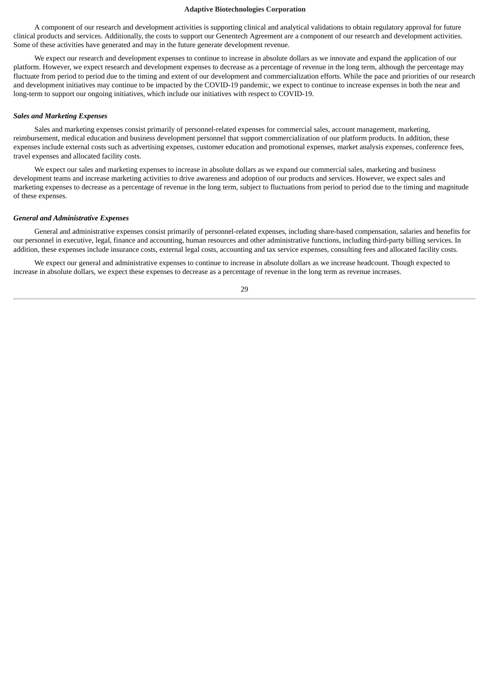A component of our research and development activities is supporting clinical and analytical validations to obtain regulatory approval for future clinical products and services. Additionally, the costs to support our Genentech Agreement are a component of our research and development activities. Some of these activities have generated and may in the future generate development revenue.

We expect our research and development expenses to continue to increase in absolute dollars as we innovate and expand the application of our platform. However, we expect research and development expenses to decrease as a percentage of revenue in the long term, although the percentage may fluctuate from period to period due to the timing and extent of our development and commercialization efforts. While the pace and priorities of our research and development initiatives may continue to be impacted by the COVID-19 pandemic, we expect to continue to increase expenses in both the near and long-term to support our ongoing initiatives, which include our initiatives with respect to COVID-19.

## *Sales and Marketing Expenses*

Sales and marketing expenses consist primarily of personnel-related expenses for commercial sales, account management, marketing, reimbursement, medical education and business development personnel that support commercialization of our platform products. In addition, these expenses include external costs such as advertising expenses, customer education and promotional expenses, market analysis expenses, conference fees, travel expenses and allocated facility costs.

We expect our sales and marketing expenses to increase in absolute dollars as we expand our commercial sales, marketing and business development teams and increase marketing activities to drive awareness and adoption of our products and services. However, we expect sales and marketing expenses to decrease as a percentage of revenue in the long term, subject to fluctuations from period to period due to the timing and magnitude of these expenses.

#### *General and Administrative Expenses*

General and administrative expenses consist primarily of personnel-related expenses, including share-based compensation, salaries and benefits for our personnel in executive, legal, finance and accounting, human resources and other administrative functions, including third-party billing services. In addition, these expenses include insurance costs, external legal costs, accounting and tax service expenses, consulting fees and allocated facility costs.

We expect our general and administrative expenses to continue to increase in absolute dollars as we increase headcount. Though expected to increase in absolute dollars, we expect these expenses to decrease as a percentage of revenue in the long term as revenue increases.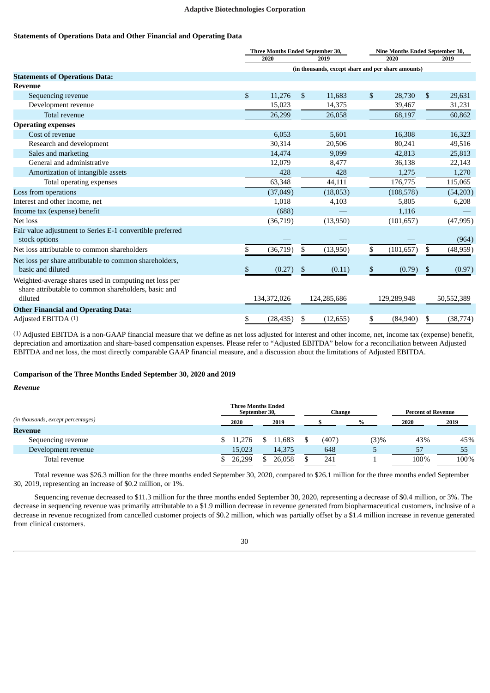## **Statements of Operations Data and Other Financial and Operating Data**

|                                                                                                                           |              | Three Months Ended September 30,<br>Nine Months Ended September 30, |              |                                                    |    |             |    |            |
|---------------------------------------------------------------------------------------------------------------------------|--------------|---------------------------------------------------------------------|--------------|----------------------------------------------------|----|-------------|----|------------|
|                                                                                                                           |              | 2020                                                                |              | 2019                                               |    | 2020        |    | 2019       |
|                                                                                                                           |              |                                                                     |              | (in thousands, except share and per share amounts) |    |             |    |            |
| <b>Statements of Operations Data:</b>                                                                                     |              |                                                                     |              |                                                    |    |             |    |            |
| <b>Revenue</b>                                                                                                            |              |                                                                     |              |                                                    |    |             |    |            |
| Sequencing revenue                                                                                                        | $\mathbb{S}$ | 11,276                                                              | $\mathbb{S}$ | 11,683                                             | \$ | 28,730      | \$ | 29,631     |
| Development revenue                                                                                                       |              | 15,023                                                              |              | 14,375                                             |    | 39,467      |    | 31,231     |
| Total revenue                                                                                                             |              | 26,299                                                              |              | 26,058                                             |    | 68,197      |    | 60,862     |
| <b>Operating expenses</b>                                                                                                 |              |                                                                     |              |                                                    |    |             |    |            |
| Cost of revenue                                                                                                           |              | 6,053                                                               |              | 5,601                                              |    | 16,308      |    | 16,323     |
| Research and development                                                                                                  |              | 30,314                                                              |              | 20,506                                             |    | 80,241      |    | 49,516     |
| Sales and marketing                                                                                                       |              | 14,474                                                              |              | 9,099                                              |    | 42,813      |    | 25,813     |
| General and administrative                                                                                                |              | 12,079                                                              |              | 8,477                                              |    | 36,138      |    | 22,143     |
| Amortization of intangible assets                                                                                         |              | 428                                                                 |              | 428                                                |    | 1.275       |    | 1,270      |
| Total operating expenses                                                                                                  |              | 63,348                                                              |              | 44,111                                             |    | 176,775     |    | 115,065    |
| Loss from operations                                                                                                      |              | (37,049)                                                            |              | (18,053)                                           |    | (108, 578)  |    | (54,203)   |
| Interest and other income, net                                                                                            |              | 1,018                                                               |              | 4,103                                              |    | 5,805       |    | 6,208      |
| Income tax (expense) benefit                                                                                              |              | (688)                                                               |              |                                                    |    | 1,116       |    |            |
| Net loss                                                                                                                  |              | (36, 719)                                                           |              | (13,950)                                           |    | (101, 657)  |    | (47, 995)  |
| Fair value adjustment to Series E-1 convertible preferred<br>stock options                                                |              |                                                                     |              |                                                    |    |             |    | (964)      |
| Net loss attributable to common shareholders                                                                              | \$           | (36, 719)                                                           | S            | (13,950)                                           | \$ | (101, 657)  | \$ | (48, 959)  |
| Net loss per share attributable to common shareholders,<br>basic and diluted                                              | \$           | (0.27)                                                              | S.           | (0.11)                                             | \$ | (0.79)      | \$ | (0.97)     |
| Weighted-average shares used in computing net loss per<br>share attributable to common shareholders, basic and<br>diluted |              | 134,372,026                                                         |              | 124,285,686                                        |    | 129,289,948 |    | 50,552,389 |
| <b>Other Financial and Operating Data:</b>                                                                                |              |                                                                     |              |                                                    |    |             |    |            |
| Adjusted EBITDA (1)                                                                                                       | \$           | (28, 435)                                                           | S            | (12, 655)                                          | \$ | (84,940)    | S  | (38, 774)  |

(1) Adjusted EBITDA is a non-GAAP financial measure that we define as net loss adjusted for interest and other income, net, income tax (expense) benefit, depreciation and amortization and share-based compensation expenses. Please refer to "Adjusted EBITDA" below for a reconciliation between Adjusted EBITDA and net loss, the most directly comparable GAAP financial measure, and a discussion about the limitations of Adjusted EBITDA.

## **Comparison of the Three Months Ended September 30, 2020 and 2019**

#### *Revenue*

|                                    |          | <b>Three Months Ended</b><br>September 30, | Change |      | <b>Percent of Revenue</b> |      |  |
|------------------------------------|----------|--------------------------------------------|--------|------|---------------------------|------|--|
| (in thousands, except percentages) | 2020     | 2019                                       |        | %    | 2020                      | 2019 |  |
| <b>Revenue</b>                     |          |                                            |        |      |                           |      |  |
| Sequencing revenue                 | \$11.276 | 11.683                                     | (407   | (3)% | 43%                       | 45%  |  |
| Development revenue                | 15,023   | 14,375                                     | 648    | r.   | 57                        | 55   |  |
| Total revenue                      | 26.299   | 26,058                                     | 241    |      | 100%                      | 100% |  |

Total revenue was \$26.3 million for the three months ended September 30, 2020, compared to \$26.1 million for the three months ended September 30, 2019, representing an increase of \$0.2 million, or 1%.

Sequencing revenue decreased to \$11.3 million for the three months ended September 30, 2020, representing a decrease of \$0.4 million, or 3%. The decrease in sequencing revenue was primarily attributable to a \$1.9 million decrease in revenue generated from biopharmaceutical customers, inclusive of a decrease in revenue recognized from cancelled customer projects of \$0.2 million, which was partially offset by a \$1.4 million increase in revenue generated from clinical customers.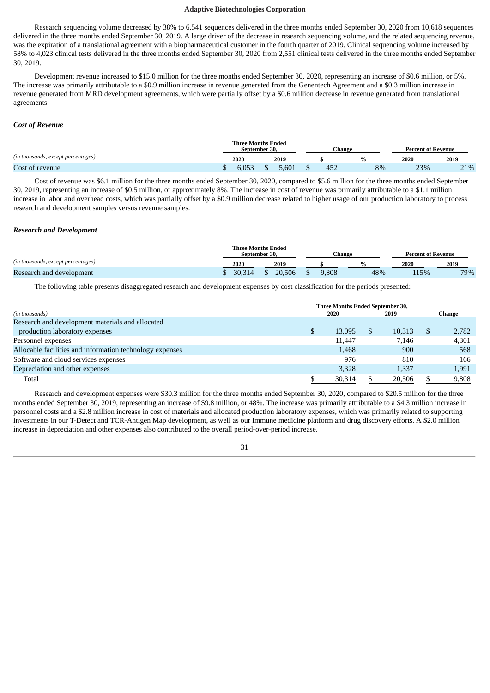Research sequencing volume decreased by 38% to 6,541 sequences delivered in the three months ended September 30, 2020 from 10,618 sequences delivered in the three months ended September 30, 2019. A large driver of the decrease in research sequencing volume, and the related sequencing revenue, was the expiration of a translational agreement with a biopharmaceutical customer in the fourth quarter of 2019. Clinical sequencing volume increased by 58% to 4,023 clinical tests delivered in the three months ended September 30, 2020 from 2,551 clinical tests delivered in the three months ended September 30, 2019.

Development revenue increased to \$15.0 million for the three months ended September 30, 2020, representing an increase of \$0.6 million, or 5%. The increase was primarily attributable to a \$0.9 million increase in revenue generated from the Genentech Agreement and a \$0.3 million increase in revenue generated from MRD development agreements, which were partially offset by a \$0.6 million decrease in revenue generated from translational agreements.

## *Cost of Revenue*

|                                    | <b>Three Months Ended</b><br>September 30. |  |       |  | Change |  |    | <b>Percent of Revenue</b> |      |  |
|------------------------------------|--------------------------------------------|--|-------|--|--------|--|----|---------------------------|------|--|
| (in thousands, except percentages) | 2020<br>2019                               |  |       |  |        |  |    | 2020                      | 2019 |  |
| Cost of revenue                    | 6.U53                                      |  | 5.601 |  | 452    |  | 8% | 23%                       | 21%  |  |

Cost of revenue was \$6.1 million for the three months ended September 30, 2020, compared to \$5.6 million for the three months ended September 30, 2019, representing an increase of \$0.5 million, or approximately 8%. The increase in cost of revenue was primarily attributable to a \$1.1 million increase in labor and overhead costs, which was partially offset by a \$0.9 million decrease related to higher usage of our production laboratory to process research and development samples versus revenue samples.

#### *Research and Development*

|                                    |        | <b>Three Months Ended</b><br>September 30. |       | Change | <b>Percent of Revenue</b> |      |  |
|------------------------------------|--------|--------------------------------------------|-------|--------|---------------------------|------|--|
| (in thousands, except percentages) | 2020   | 2019                                       |       |        | 2020                      | 2019 |  |
| Research and development           | 30.314 | 20.506                                     | 9,808 | 48%    | 115%                      | 79%  |  |

The following table presents disaggregated research and development expenses by cost classification for the periods presented:

|                                                          |    | <b>Three Months Ended September 30,</b> |  |        |  |       |  |  |  |
|----------------------------------------------------------|----|-----------------------------------------|--|--------|--|-------|--|--|--|
| (in thousands)                                           |    | 2020                                    |  | Change |  |       |  |  |  |
| Research and development materials and allocated         |    |                                         |  |        |  |       |  |  |  |
| production laboratory expenses                           | \$ | 13.095                                  |  | 10.313 |  | 2,782 |  |  |  |
| Personnel expenses                                       |    | 11.447                                  |  | 7.146  |  | 4,301 |  |  |  |
| Allocable facilities and information technology expenses |    | 1.468                                   |  | 900    |  | 568   |  |  |  |
| Software and cloud services expenses                     |    | 976                                     |  | 810    |  | 166   |  |  |  |
| Depreciation and other expenses                          |    | 3,328                                   |  | 1,337  |  | 1,991 |  |  |  |
| Total                                                    |    | 30.314                                  |  | 20,506 |  | 9.808 |  |  |  |

Research and development expenses were \$30.3 million for the three months ended September 30, 2020, compared to \$20.5 million for the three months ended September 30, 2019, representing an increase of \$9.8 million, or 48%. The increase was primarily attributable to a \$4.3 million increase in personnel costs and a \$2.8 million increase in cost of materials and allocated production laboratory expenses, which was primarily related to supporting investments in our T-Detect and TCR-Antigen Map development, as well as our immune medicine platform and drug discovery efforts. A \$2.0 million increase in depreciation and other expenses also contributed to the overall period-over-period increase.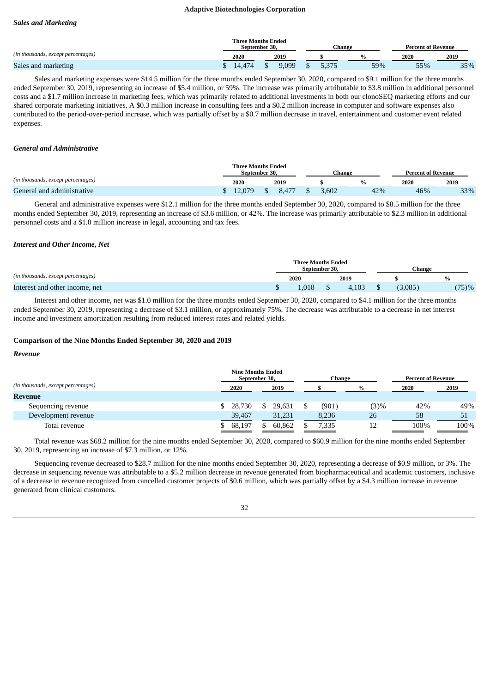## *Sales and Marketing*

|                                    | <b>Three Months Ended</b><br>September 30. |        |  |       |  |       | Change |     | <b>Percent of Revenue</b> |  |      |
|------------------------------------|--------------------------------------------|--------|--|-------|--|-------|--------|-----|---------------------------|--|------|
| (in thousands, except percentages) |                                            | 2020   |  | 2019  |  |       |        |     | 2020                      |  | 2019 |
| Sales and marketing                |                                            | 14.474 |  | 9.099 |  | 5.375 |        | 59% | 55%                       |  | 35%  |

Sales and marketing expenses were \$14.5 million for the three months ended September 30, 2020, compared to \$9.1 million for the three months ended September 30, 2019, representing an increase of \$5.4 million, or 59%. The increase was primarily attributable to \$3.8 million in additional personnel costs and a \$1.7 million increase in marketing fees, which was primarily related to additional investments in both our clonoSEQ marketing efforts and our shared corporate marketing initiatives. A \$0.3 million increase in consulting fees and a \$0.2 million increase in computer and software expenses also contributed to the period-over-period increase, which was partially offset by a \$0.7 million decrease in travel, entertainment and customer event related expenses.

## *General and Administrative*

|                                    | <b>Three Months Ended</b><br>September 30. |  |      |       | Percent of Revenue |     |      |      |
|------------------------------------|--------------------------------------------|--|------|-------|--------------------|-----|------|------|
| (in thousands, except percentages) | 2020<br>2019                               |  |      |       |                    |     | 2020 | 2019 |
| General and administrative         | 12.079                                     |  | 8.47 | 3,602 |                    | 42% | 46%  | 33%  |

General and administrative expenses were \$12.1 million for the three months ended September 30, 2020, compared to \$8.5 million for the three months ended September 30, 2019, representing an increase of \$3.6 million, or 42%. The increase was primarily attributable to \$2.3 million in additional personnel costs and a \$1.0 million increase in legal, accounting and tax fees.

#### *Interest and Other Income, Net*

|                                    |  | <b>Three Months Ended</b><br>September 30. |  |       | Change  |       |  |  |
|------------------------------------|--|--------------------------------------------|--|-------|---------|-------|--|--|
| (in thousands, except percentages) |  | 2020                                       |  | 2019  |         |       |  |  |
| Interest and other income, net     |  | .018                                       |  | 4.103 | (3.085) | (75)% |  |  |

Interest and other income, net was \$1.0 million for the three months ended September 30, 2020, compared to \$4.1 million for the three months ended September 30, 2019, representing a decrease of \$3.1 million, or approximately 75%. The decrease was attributable to a decrease in net interest income and investment amortization resulting from reduced interest rates and related yields.

## **Comparison of the Nine Months Ended September 30, 2020 and 2019**

#### *Revenue*

|                                    | <b>Nine Months Ended</b><br>September 30, |        | Change |      | <b>Percent of Revenue</b> |      |  |
|------------------------------------|-------------------------------------------|--------|--------|------|---------------------------|------|--|
| (in thousands, except percentages) | 2020                                      | 2019   |        | $\%$ | 2020                      | 2019 |  |
| Revenue                            |                                           |        |        |      |                           |      |  |
| Sequencing revenue                 | 28.730                                    | 29,631 | (901)  | (3)% | 42%                       | 49%  |  |
| Development revenue                | 39,467                                    | 31,231 | 8,236  | 26   | 58                        | 51   |  |
| Total revenue                      | 68,197                                    | 60,862 | 7,335  |      | 100%                      | 100% |  |

Total revenue was \$68.2 million for the nine months ended September 30, 2020, compared to \$60.9 million for the nine months ended September 30, 2019, representing an increase of \$7.3 million, or 12%.

Sequencing revenue decreased to \$28.7 million for the nine months ended September 30, 2020, representing a decrease of \$0.9 million, or 3%. The decrease in sequencing revenue was attributable to a \$5.2 million decrease in revenue generated from biopharmaceutical and academic customers, inclusive of a decrease in revenue recognized from cancelled customer projects of \$0.6 million, which was partially offset by a \$4.3 million increase in revenue generated from clinical customers.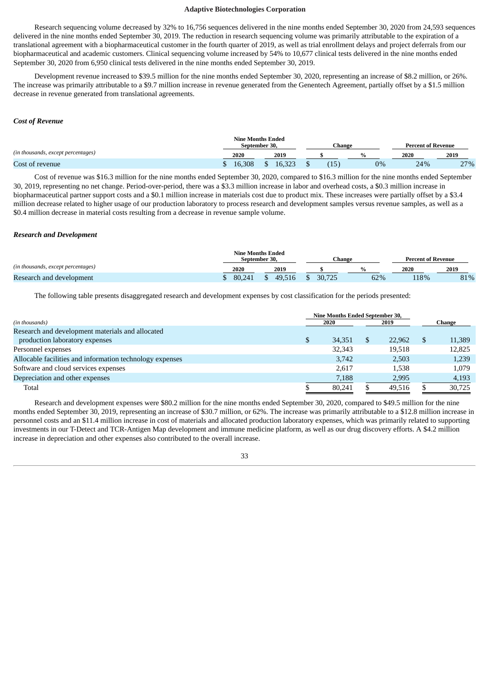Research sequencing volume decreased by 32% to 16,756 sequences delivered in the nine months ended September 30, 2020 from 24,593 sequences delivered in the nine months ended September 30, 2019. The reduction in research sequencing volume was primarily attributable to the expiration of a translational agreement with a biopharmaceutical customer in the fourth quarter of 2019, as well as trial enrollment delays and project deferrals from our biopharmaceutical and academic customers. Clinical sequencing volume increased by 54% to 10,677 clinical tests delivered in the nine months ended September 30, 2020 from 6,950 clinical tests delivered in the nine months ended September 30, 2019.

Development revenue increased to \$39.5 million for the nine months ended September 30, 2020, representing an increase of \$8.2 million, or 26%. The increase was primarily attributable to a \$9.7 million increase in revenue generated from the Genentech Agreement, partially offset by a \$1.5 million decrease in revenue generated from translational agreements.

## *Cost of Revenue*

|                                    |        | <b>Nine Months Ended</b><br>September 30. | ∵hange |    | <b>Percent of Revenue</b> |                        |  |
|------------------------------------|--------|-------------------------------------------|--------|----|---------------------------|------------------------|--|
| (in thousands, except percentages) | 2020   | 2019                                      |        |    | 2020                      | 2019                   |  |
| Cost of revenue                    | 16.308 | 16.222<br>10.060                          | ⊥      | 0% | 24%                       | 27%<br>$\sim$ $\prime$ |  |

Cost of revenue was \$16.3 million for the nine months ended September 30, 2020, compared to \$16.3 million for the nine months ended September 30, 2019, representing no net change. Period-over-period, there was a \$3.3 million increase in labor and overhead costs, a \$0.3 million increase in biopharmaceutical partner support costs and a \$0.1 million increase in materials cost due to product mix. These increases were partially offset by a \$3.4 million decrease related to higher usage of our production laboratory to process research and development samples versus revenue samples, as well as a \$0.4 million decrease in material costs resulting from a decrease in revenue sample volume.

#### *Research and Development*

|                                    |        | September 30. | Nine Months Ended |        | Change        | <b>Percent of Revenue</b> |      |
|------------------------------------|--------|---------------|-------------------|--------|---------------|---------------------------|------|
| (in thousands, except percentages) | 2020   |               | 2019              |        | $\frac{0}{0}$ | 2020                      | 2019 |
| Research and development           | 80.241 |               | 49.516            | 30.725 | 62%           | 18%                       | 81%  |

The following table presents disaggregated research and development expenses by cost classification for the periods presented:

|                                                          | <b>Nine Months Ended September 30,</b> |        |  |        |   |        |
|----------------------------------------------------------|----------------------------------------|--------|--|--------|---|--------|
| (in thousands)                                           |                                        | 2020   |  | 2019   |   | Change |
| Research and development materials and allocated         |                                        |        |  |        |   |        |
| production laboratory expenses                           | \$                                     | 34,351 |  | 22.962 | S | 11,389 |
| Personnel expenses                                       |                                        | 32,343 |  | 19.518 |   | 12,825 |
| Allocable facilities and information technology expenses |                                        | 3,742  |  | 2,503  |   | 1,239  |
| Software and cloud services expenses                     |                                        | 2.617  |  | 1.538  |   | 1,079  |
| Depreciation and other expenses                          |                                        | 7,188  |  | 2,995  |   | 4,193  |
| Total                                                    |                                        | 80.241 |  | 49.516 |   | 30.725 |

Research and development expenses were \$80.2 million for the nine months ended September 30, 2020, compared to \$49.5 million for the nine months ended September 30, 2019, representing an increase of \$30.7 million, or 62%. The increase was primarily attributable to a \$12.8 million increase in personnel costs and an \$11.4 million increase in cost of materials and allocated production laboratory expenses, which was primarily related to supporting investments in our T-Detect and TCR-Antigen Map development and immune medicine platform, as well as our drug discovery efforts. A \$4.2 million increase in depreciation and other expenses also contributed to the overall increase.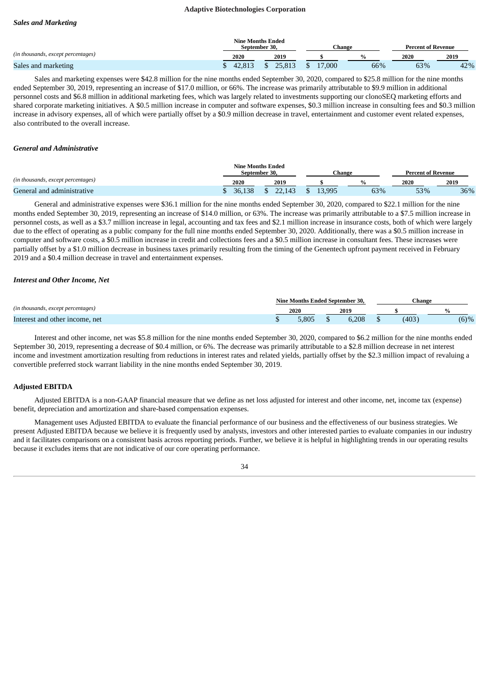## *Sales and Marketing*

|                                    |        | <b>Nine Months Ended</b><br>September 30. | Change    |     | <b>Percent of Revenue</b> |      |  |
|------------------------------------|--------|-------------------------------------------|-----------|-----|---------------------------|------|--|
| (in thousands, except percentages) | 2020   | 2019                                      |           |     | 2020                      | 2019 |  |
| Sales and marketing                | 42.813 | \$ 25,813                                 | \$ 17,000 | 66% | 63%                       | 42%  |  |

Sales and marketing expenses were \$42.8 million for the nine months ended September 30, 2020, compared to \$25.8 million for the nine months ended September 30, 2019, representing an increase of \$17.0 million, or 66%. The increase was primarily attributable to \$9.9 million in additional personnel costs and \$6.8 million in additional marketing fees, which was largely related to investments supporting our clonoSEQ marketing efforts and shared corporate marketing initiatives. A \$0.5 million increase in computer and software expenses, \$0.3 million increase in consulting fees and \$0.3 million increase in advisory expenses, all of which were partially offset by a \$0.9 million decrease in travel, entertainment and customer event related expenses, also contributed to the overall increase.

## *General and Administrative*

|                                    |        | <b>Nine Months Ended</b><br>September 30. | Change |     | <b>Percent of Revenue</b> |      |
|------------------------------------|--------|-------------------------------------------|--------|-----|---------------------------|------|
| (in thousands, except percentages) | 2020   | 2019                                      |        |     | 2020                      | 2019 |
| General and administrative         | 36.138 |                                           | 13.995 | 63% | 53%                       | 36%  |

General and administrative expenses were \$36.1 million for the nine months ended September 30, 2020, compared to \$22.1 million for the nine months ended September 30, 2019, representing an increase of \$14.0 million, or 63%. The increase was primarily attributable to a \$7.5 million increase in personnel costs, as well as a \$3.7 million increase in legal, accounting and tax fees and \$2.1 million increase in insurance costs, both of which were largely due to the effect of operating as a public company for the full nine months ended September 30, 2020. Additionally, there was a \$0.5 million increase in computer and software costs, a \$0.5 million increase in credit and collections fees and a \$0.5 million increase in consultant fees. These increases were partially offset by a \$1.0 million decrease in business taxes primarily resulting from the timing of the Genentech upfront payment received in February 2019 and a \$0.4 million decrease in travel and entertainment expenses.

#### *Interest and Other Income, Net*

|                                    | Nine Months Ended September 30. |  |       |  | -hange ا |         |
|------------------------------------|---------------------------------|--|-------|--|----------|---------|
| (in thousands, except percentages) | 2020                            |  | 2019  |  |          |         |
| Interest and other income, net     | 5.805                           |  | 6.208 |  | (403)    | $(6)$ % |

Interest and other income, net was \$5.8 million for the nine months ended September 30, 2020, compared to \$6.2 million for the nine months ended September 30, 2019, representing a decrease of \$0.4 million, or 6%. The decrease was primarily attributable to a \$2.8 million decrease in net interest income and investment amortization resulting from reductions in interest rates and related yields, partially offset by the \$2.3 million impact of revaluing a convertible preferred stock warrant liability in the nine months ended September 30, 2019.

#### **Adjusted EBITDA**

Adjusted EBITDA is a non-GAAP financial measure that we define as net loss adjusted for interest and other income, net, income tax (expense) benefit, depreciation and amortization and share-based compensation expenses.

Management uses Adjusted EBITDA to evaluate the financial performance of our business and the effectiveness of our business strategies. We present Adjusted EBITDA because we believe it is frequently used by analysts, investors and other interested parties to evaluate companies in our industry and it facilitates comparisons on a consistent basis across reporting periods. Further, we believe it is helpful in highlighting trends in our operating results because it excludes items that are not indicative of our core operating performance.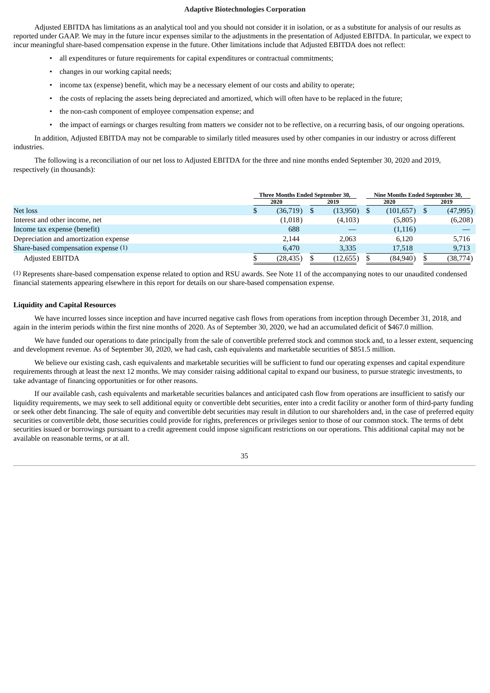Adjusted EBITDA has limitations as an analytical tool and you should not consider it in isolation, or as a substitute for analysis of our results as reported under GAAP. We may in the future incur expenses similar to the adjustments in the presentation of Adjusted EBITDA. In particular, we expect to incur meaningful share-based compensation expense in the future. Other limitations include that Adjusted EBITDA does not reflect:

- all expenditures or future requirements for capital expenditures or contractual commitments;
- changes in our working capital needs;
- income tax (expense) benefit, which may be a necessary element of our costs and ability to operate;
- the costs of replacing the assets being depreciated and amortized, which will often have to be replaced in the future;
- the non-cash component of employee compensation expense; and
- the impact of earnings or charges resulting from matters we consider not to be reflective, on a recurring basis, of our ongoing operations.

In addition, Adjusted EBITDA may not be comparable to similarly titled measures used by other companies in our industry or across different industries.

The following is a reconciliation of our net loss to Adjusted EBITDA for the three and nine months ended September 30, 2020 and 2019, respectively (in thousands):

|                                       | Three Months Ended September 30, |              |  |           |      | Nine Months Ended September 30, |      |           |  |
|---------------------------------------|----------------------------------|--------------|--|-----------|------|---------------------------------|------|-----------|--|
|                                       |                                  | 2020<br>2019 |  |           | 2020 |                                 | 2019 |           |  |
| Net loss                              |                                  | (36,719)     |  | (13,950)  |      | (101,657)                       |      | (47,995)  |  |
| Interest and other income, net        |                                  | (1,018)      |  | (4,103)   |      | (5,805)                         |      | (6,208)   |  |
| Income tax expense (benefit)          |                                  | 688          |  |           |      | (1,116)                         |      |           |  |
| Depreciation and amortization expense |                                  | 2.144        |  | 2.063     |      | 6.120                           |      | 5,716     |  |
| Share-based compensation expense (1)  |                                  | 6.470        |  | 3,335     |      | 17,518                          |      | 9,713     |  |
| <b>Adjusted EBITDA</b>                |                                  | (28, 435)    |  | (12, 655) |      | (84,940)                        |      | (38, 774) |  |

(1) Represents share-based compensation expense related to option and RSU awards. See Note 11 of the accompanying notes to our unaudited condensed financial statements appearing elsewhere in this report for details on our share-based compensation expense.

## **Liquidity and Capital Resources**

We have incurred losses since inception and have incurred negative cash flows from operations from inception through December 31, 2018, and again in the interim periods within the first nine months of 2020. As of September 30, 2020, we had an accumulated deficit of \$467.0 million.

We have funded our operations to date principally from the sale of convertible preferred stock and common stock and, to a lesser extent, sequencing and development revenue. As of September 30, 2020, we had cash, cash equivalents and marketable securities of \$851.5 million.

We believe our existing cash, cash equivalents and marketable securities will be sufficient to fund our operating expenses and capital expenditure requirements through at least the next 12 months. We may consider raising additional capital to expand our business, to pursue strategic investments, to take advantage of financing opportunities or for other reasons.

If our available cash, cash equivalents and marketable securities balances and anticipated cash flow from operations are insufficient to satisfy our liquidity requirements, we may seek to sell additional equity or convertible debt securities, enter into a credit facility or another form of third-party funding or seek other debt financing. The sale of equity and convertible debt securities may result in dilution to our shareholders and, in the case of preferred equity securities or convertible debt, those securities could provide for rights, preferences or privileges senior to those of our common stock. The terms of debt securities issued or borrowings pursuant to a credit agreement could impose significant restrictions on our operations. This additional capital may not be available on reasonable terms, or at all.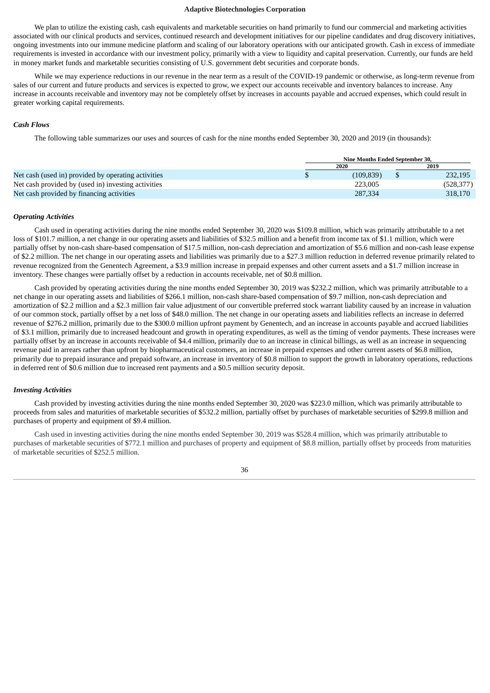We plan to utilize the existing cash, cash equivalents and marketable securities on hand primarily to fund our commercial and marketing activities associated with our clinical products and services, continued research and development initiatives for our pipeline candidates and drug discovery initiatives, ongoing investments into our immune medicine platform and scaling of our laboratory operations with our anticipated growth. Cash in excess of immediate requirements is invested in accordance with our investment policy, primarily with a view to liquidity and capital preservation. Currently, our funds are held in money market funds and marketable securities consisting of U.S. government debt securities and corporate bonds.

While we may experience reductions in our revenue in the near term as a result of the COVID-19 pandemic or otherwise, as long-term revenue from sales of our current and future products and services is expected to grow, we expect our accounts receivable and inventory balances to increase. Any increase in accounts receivable and inventory may not be completely offset by increases in accounts payable and accrued expenses, which could result in greater working capital requirements.

## *Cash Flows*

The following table summarizes our uses and sources of cash for the nine months ended September 30, 2020 and 2019 (in thousands):

|                                                     |  | Nine Months Ended September 30. |      |            |  |  |  |
|-----------------------------------------------------|--|---------------------------------|------|------------|--|--|--|
|                                                     |  |                                 | 2019 |            |  |  |  |
| Net cash (used in) provided by operating activities |  | (109, 839)                      |      | 232,195    |  |  |  |
| Net cash provided by (used in) investing activities |  | 223.005                         |      | (528, 377) |  |  |  |
| Net cash provided by financing activities           |  | 287,334                         |      | 318,170    |  |  |  |

#### *Operating Activities*

Cash used in operating activities during the nine months ended September 30, 2020 was \$109.8 million, which was primarily attributable to a net loss of \$101.7 million, a net change in our operating assets and liabilities of \$32.5 million and a benefit from income tax of \$1.1 million, which were partially offset by non-cash share-based compensation of \$17.5 million, non-cash depreciation and amortization of \$5.6 million and non-cash lease expense of \$2.2 million. The net change in our operating assets and liabilities was primarily due to a \$27.3 million reduction in deferred revenue primarily related to revenue recognized from the Genentech Agreement, a \$3.9 million increase in prepaid expenses and other current assets and a \$1.7 million increase in inventory. These changes were partially offset by a reduction in accounts receivable, net of \$0.8 million.

Cash provided by operating activities during the nine months ended September 30, 2019 was \$232.2 million, which was primarily attributable to a net change in our operating assets and liabilities of \$266.1 million, non-cash share-based compensation of \$9.7 million, non-cash depreciation and amortization of \$2.2 million and a \$2.3 million fair value adjustment of our convertible preferred stock warrant liability caused by an increase in valuation of our common stock, partially offset by a net loss of \$48.0 million. The net change in our operating assets and liabilities reflects an increase in deferred revenue of \$276.2 million, primarily due to the \$300.0 million upfront payment by Genentech, and an increase in accounts payable and accrued liabilities of \$3.1 million, primarily due to increased headcount and growth in operating expenditures, as well as the timing of vendor payments. These increases were partially offset by an increase in accounts receivable of \$4.4 million, primarily due to an increase in clinical billings, as well as an increase in sequencing revenue paid in arrears rather than upfront by biopharmaceutical customers, an increase in prepaid expenses and other current assets of \$6.8 million, primarily due to prepaid insurance and prepaid software, an increase in inventory of \$0.8 million to support the growth in laboratory operations, reductions in deferred rent of \$0.6 million due to increased rent payments and a \$0.5 million security deposit.

#### *Investing Activities*

Cash provided by investing activities during the nine months ended September 30, 2020 was \$223.0 million, which was primarily attributable to proceeds from sales and maturities of marketable securities of \$532.2 million, partially offset by purchases of marketable securities of \$299.8 million and purchases of property and equipment of \$9.4 million.

Cash used in investing activities during the nine months ended September 30, 2019 was \$528.4 million, which was primarily attributable to purchases of marketable securities of \$772.1 million and purchases of property and equipment of \$8.8 million, partially offset by proceeds from maturities of marketable securities of \$252.5 million.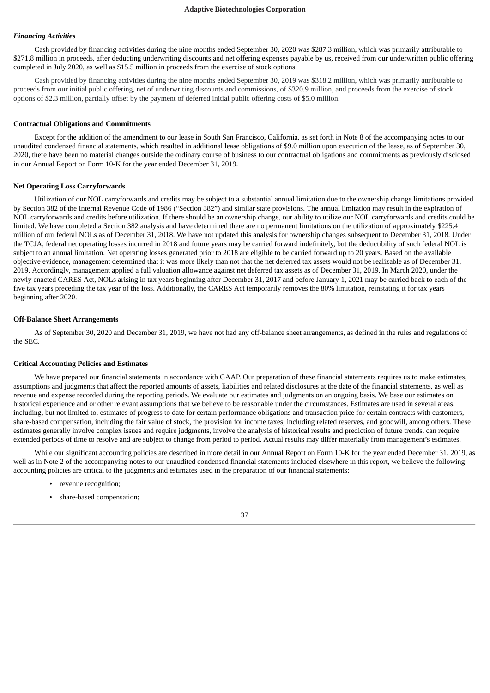#### *Financing Activities*

Cash provided by financing activities during the nine months ended September 30, 2020 was \$287.3 million, which was primarily attributable to \$271.8 million in proceeds, after deducting underwriting discounts and net offering expenses payable by us, received from our underwritten public offering completed in July 2020, as well as \$15.5 million in proceeds from the exercise of stock options.

Cash provided by financing activities during the nine months ended September 30, 2019 was \$318.2 million, which was primarily attributable to proceeds from our initial public offering, net of underwriting discounts and commissions, of \$320.9 million, and proceeds from the exercise of stock options of \$2.3 million, partially offset by the payment of deferred initial public offering costs of \$5.0 million.

#### **Contractual Obligations and Commitments**

Except for the addition of the amendment to our lease in South San Francisco, California, as set forth in Note 8 of the accompanying notes to our unaudited condensed financial statements, which resulted in additional lease obligations of \$9.0 million upon execution of the lease, as of September 30, 2020, there have been no material changes outside the ordinary course of business to our contractual obligations and commitments as previously disclosed in our Annual Report on Form 10-K for the year ended December 31, 2019.

#### **Net Operating Loss Carryforwards**

Utilization of our NOL carryforwards and credits may be subject to a substantial annual limitation due to the ownership change limitations provided by Section 382 of the Internal Revenue Code of 1986 ("Section 382") and similar state provisions. The annual limitation may result in the expiration of NOL carryforwards and credits before utilization. If there should be an ownership change, our ability to utilize our NOL carryforwards and credits could be limited. We have completed a Section 382 analysis and have determined there are no permanent limitations on the utilization of approximately \$225.4 million of our federal NOLs as of December 31, 2018. We have not updated this analysis for ownership changes subsequent to December 31, 2018. Under the TCJA, federal net operating losses incurred in 2018 and future years may be carried forward indefinitely, but the deductibility of such federal NOL is subject to an annual limitation. Net operating losses generated prior to 2018 are eligible to be carried forward up to 20 years. Based on the available objective evidence, management determined that it was more likely than not that the net deferred tax assets would not be realizable as of December 31, 2019. Accordingly, management applied a full valuation allowance against net deferred tax assets as of December 31, 2019. In March 2020, under the newly enacted CARES Act, NOLs arising in tax years beginning after December 31, 2017 and before January 1, 2021 may be carried back to each of the five tax years preceding the tax year of the loss. Additionally, the CARES Act temporarily removes the 80% limitation, reinstating it for tax years beginning after 2020.

#### **Off-Balance Sheet Arrangements**

As of September 30, 2020 and December 31, 2019, we have not had any off-balance sheet arrangements, as defined in the rules and regulations of the SEC.

#### **Critical Accounting Policies and Estimates**

We have prepared our financial statements in accordance with GAAP. Our preparation of these financial statements requires us to make estimates, assumptions and judgments that affect the reported amounts of assets, liabilities and related disclosures at the date of the financial statements, as well as revenue and expense recorded during the reporting periods. We evaluate our estimates and judgments on an ongoing basis. We base our estimates on historical experience and or other relevant assumptions that we believe to be reasonable under the circumstances. Estimates are used in several areas, including, but not limited to, estimates of progress to date for certain performance obligations and transaction price for certain contracts with customers, share-based compensation, including the fair value of stock, the provision for income taxes, including related reserves, and goodwill, among others. These estimates generally involve complex issues and require judgments, involve the analysis of historical results and prediction of future trends, can require extended periods of time to resolve and are subject to change from period to period. Actual results may differ materially from management's estimates.

While our significant accounting policies are described in more detail in our Annual Report on Form 10-K for the year ended December 31, 2019, as well as in Note 2 of the accompanying notes to our unaudited condensed financial statements included elsewhere in this report, we believe the following accounting policies are critical to the judgments and estimates used in the preparation of our financial statements:

- revenue recognition;
- share-based compensation;

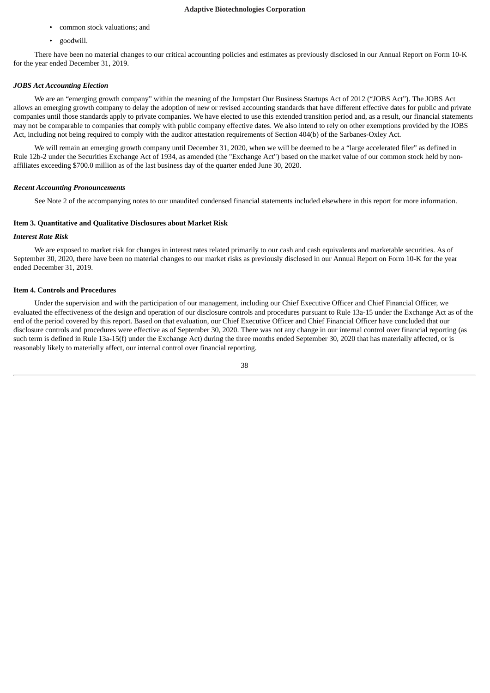- common stock valuations; and
- goodwill.

There have been no material changes to our critical accounting policies and estimates as previously disclosed in our Annual Report on Form 10-K for the year ended December 31, 2019.

## *JOBS Act Accounting Election*

We are an "emerging growth company" within the meaning of the Jumpstart Our Business Startups Act of 2012 ("JOBS Act"). The JOBS Act allows an emerging growth company to delay the adoption of new or revised accounting standards that have different effective dates for public and private companies until those standards apply to private companies. We have elected to use this extended transition period and, as a result, our financial statements may not be comparable to companies that comply with public company effective dates. We also intend to rely on other exemptions provided by the JOBS Act, including not being required to comply with the auditor attestation requirements of Section 404(b) of the Sarbanes-Oxley Act.

We will remain an emerging growth company until December 31, 2020, when we will be deemed to be a "large accelerated filer" as defined in Rule 12b-2 under the Securities Exchange Act of 1934, as amended (the "Exchange Act") based on the market value of our common stock held by nonaffiliates exceeding \$700.0 million as of the last business day of the quarter ended June 30, 2020.

## *Recent Accounting Pronouncements*

See Note 2 of the accompanying notes to our unaudited condensed financial statements included elsewhere in this report for more information.

## <span id="page-37-0"></span>**Item 3. Quantitative and Qualitative Disclosures about Market Risk**

## *Interest Rate Risk*

We are exposed to market risk for changes in interest rates related primarily to our cash and cash equivalents and marketable securities. As of September 30, 2020, there have been no material changes to our market risks as previously disclosed in our Annual Report on Form 10-K for the year ended December 31, 2019.

#### <span id="page-37-1"></span>**Item 4. Controls and Procedures**

Under the supervision and with the participation of our management, including our Chief Executive Officer and Chief Financial Officer, we evaluated the effectiveness of the design and operation of our disclosure controls and procedures pursuant to Rule 13a-15 under the Exchange Act as of the end of the period covered by this report. Based on that evaluation, our Chief Executive Officer and Chief Financial Officer have concluded that our disclosure controls and procedures were effective as of September 30, 2020. There was not any change in our internal control over financial reporting (as such term is defined in Rule 13a-15(f) under the Exchange Act) during the three months ended September 30, 2020 that has materially affected, or is reasonably likely to materially affect, our internal control over financial reporting.

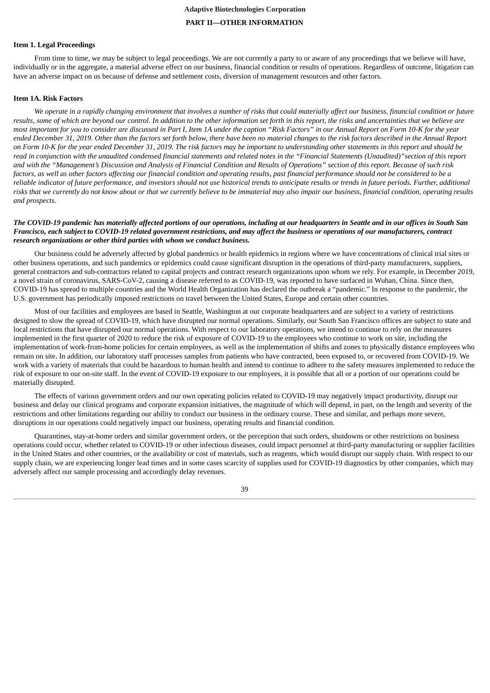# **Adaptive Biotechnologies Corporation PART II—OTHER INFORMATION**

## <span id="page-38-1"></span><span id="page-38-0"></span>**Item 1. Legal Proceedings**

From time to time, we may be subject to legal proceedings. We are not currently a party to or aware of any proceedings that we believe will have, individually or in the aggregate, a material adverse effect on our business, financial condition or results of operations. Regardless of outcome, litigation can have an adverse impact on us because of defense and settlement costs, diversion of management resources and other factors.

## <span id="page-38-2"></span>**Item 1A. Risk Factors**

We operate in a rapidly changing environment that involves a number of risks that could materially affect our business, financial condition or future results, some of which are beyond our control. In addition to the other information set forth in this report, the risks and uncertainties that we believe are most important for you to consider are discussed in Part I, Item 1A under the caption "Risk Factors" in our Annual Report on Form 10-K for the year ended December 31, 2019. Other than the factors set forth below, there have been no material changes to the risk factors described in the Annual Report on Form 10-K for the year ended December 31, 2019. The risk factors may be important to understanding other statements in this report and should be read in conjunction with the unaudited condensed financial statements and related notes in the "Financial Statements (Unaudited)" section of this report and with the "Management's Discussion and Analysis of Financial Condition and Results of Operations" section of this report. Because of such risk factors, as well as other factors affecting our financial condition and operating results, past financial performance should not be considered to be a reliable indicator of future performance, and investors should not use historical trends to anticipate results or trends in future periods. Further, additional risks that we currently do not know about or that we currently believe to be immaterial may also impair our business, financial condition, operating results *and prospects.*

## The COVID-19 pandemic has materially affected portions of our operations, including at our headquarters in Seattle and in our offices in South San Francisco, each subject to COVID-19 related aovernment restrictions, and may affect the business or operations of our manufacturers, contract *research organizations or other third parties with whom we conduct business.*

Our business could be adversely affected by global pandemics or health epidemics in regions where we have concentrations of clinical trial sites or other business operations, and such pandemics or epidemics could cause significant disruption in the operations of third-party manufacturers, suppliers, general contractors and sub-contractors related to capital projects and contract research organizations upon whom we rely. For example, in December 2019, a novel strain of coronavirus, SARS-CoV-2, causing a disease referred to as COVID-19, was reported to have surfaced in Wuhan, China. Since then, COVID-19 has spread to multiple countries and the World Health Organization has declared the outbreak a "pandemic." In response to the pandemic, the U.S. government has periodically imposed restrictions on travel between the United States, Europe and certain other countries.

Most of our facilities and employees are based in Seattle, Washington at our corporate headquarters and are subject to a variety of restrictions designed to slow the spread of COVID-19, which have disrupted our normal operations. Similarly, our South San Francisco offices are subject to state and local restrictions that have disrupted our normal operations. With respect to our laboratory operations, we intend to continue to rely on the measures implemented in the first quarter of 2020 to reduce the risk of exposure of COVID-19 to the employees who continue to work on site, including the implementation of work-from-home policies for certain employees, as well as the implementation of shifts and zones to physically distance employees who remain on site. In addition, our laboratory staff processes samples from patients who have contracted, been exposed to, or recovered from COVID-19. We work with a variety of materials that could be hazardous to human health and intend to continue to adhere to the safety measures implemented to reduce the risk of exposure to our on-site staff. In the event of COVID-19 exposure to our employees, it is possible that all or a portion of our operations could be materially disrupted.

The effects of various government orders and our own operating policies related to COVID-19 may negatively impact productivity, disrupt our business and delay our clinical programs and corporate expansion initiatives, the magnitude of which will depend, in part, on the length and severity of the restrictions and other limitations regarding our ability to conduct our business in the ordinary course. These and similar, and perhaps more severe, disruptions in our operations could negatively impact our business, operating results and financial condition.

Quarantines, stay-at-home orders and similar government orders, or the perception that such orders, shutdowns or other restrictions on business operations could occur, whether related to COVID-19 or other infectious diseases, could impact personnel at third-party manufacturing or supplier facilities in the United States and other countries, or the availability or cost of materials, such as reagents, which would disrupt our supply chain. With respect to our supply chain, we are experiencing longer lead times and in some cases scarcity of supplies used for COVID-19 diagnostics by other companies, which may adversely affect our sample processing and accordingly delay revenues.

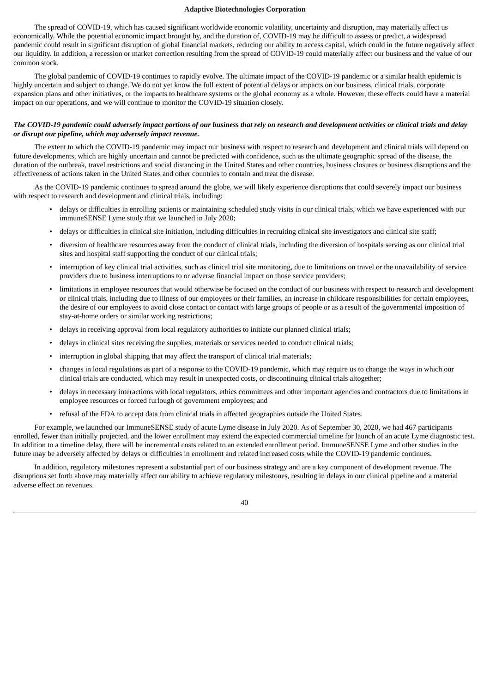The spread of COVID-19, which has caused significant worldwide economic volatility, uncertainty and disruption, may materially affect us economically. While the potential economic impact brought by, and the duration of, COVID-19 may be difficult to assess or predict, a widespread pandemic could result in significant disruption of global financial markets, reducing our ability to access capital, which could in the future negatively affect our liquidity. In addition, a recession or market correction resulting from the spread of COVID-19 could materially affect our business and the value of our common stock.

The global pandemic of COVID-19 continues to rapidly evolve. The ultimate impact of the COVID-19 pandemic or a similar health epidemic is highly uncertain and subject to change. We do not yet know the full extent of potential delays or impacts on our business, clinical trials, corporate expansion plans and other initiatives, or the impacts to healthcare systems or the global economy as a whole. However, these effects could have a material impact on our operations, and we will continue to monitor the COVID-19 situation closely.

## The COVID-19 pandemic could adversely impact portions of our business that rely on research and development activities or clinical trials and delay *or disrupt our pipeline, which may adversely impact revenue.*

The extent to which the COVID-19 pandemic may impact our business with respect to research and development and clinical trials will depend on future developments, which are highly uncertain and cannot be predicted with confidence, such as the ultimate geographic spread of the disease, the duration of the outbreak, travel restrictions and social distancing in the United States and other countries, business closures or business disruptions and the effectiveness of actions taken in the United States and other countries to contain and treat the disease.

As the COVID-19 pandemic continues to spread around the globe, we will likely experience disruptions that could severely impact our business with respect to research and development and clinical trials, including:

- delays or difficulties in enrolling patients or maintaining scheduled study visits in our clinical trials, which we have experienced with our immuneSENSE Lyme study that we launched in July 2020;
- delays or difficulties in clinical site initiation, including difficulties in recruiting clinical site investigators and clinical site staff;
- diversion of healthcare resources away from the conduct of clinical trials, including the diversion of hospitals serving as our clinical trial sites and hospital staff supporting the conduct of our clinical trials;
- interruption of key clinical trial activities, such as clinical trial site monitoring, due to limitations on travel or the unavailability of service providers due to business interruptions to or adverse financial impact on those service providers;
- limitations in employee resources that would otherwise be focused on the conduct of our business with respect to research and development or clinical trials, including due to illness of our employees or their families, an increase in childcare responsibilities for certain employees, the desire of our employees to avoid close contact or contact with large groups of people or as a result of the governmental imposition of stay-at-home orders or similar working restrictions;
- delays in receiving approval from local regulatory authorities to initiate our planned clinical trials;
- delays in clinical sites receiving the supplies, materials or services needed to conduct clinical trials;
- interruption in global shipping that may affect the transport of clinical trial materials;
- changes in local regulations as part of a response to the COVID-19 pandemic, which may require us to change the ways in which our clinical trials are conducted, which may result in unexpected costs, or discontinuing clinical trials altogether;
- delays in necessary interactions with local regulators, ethics committees and other important agencies and contractors due to limitations in employee resources or forced furlough of government employees; and
- refusal of the FDA to accept data from clinical trials in affected geographies outside the United States.

For example, we launched our ImmuneSENSE study of acute Lyme disease in July 2020. As of September 30, 2020, we had 467 participants enrolled, fewer than initially projected, and the lower enrollment may extend the expected commercial timeline for launch of an acute Lyme diagnostic test. In addition to a timeline delay, there will be incremental costs related to an extended enrollment period. ImmuneSENSE Lyme and other studies in the future may be adversely affected by delays or difficulties in enrollment and related increased costs while the COVID-19 pandemic continues.

In addition, regulatory milestones represent a substantial part of our business strategy and are a key component of development revenue. The disruptions set forth above may materially affect our ability to achieve regulatory milestones, resulting in delays in our clinical pipeline and a material adverse effect on revenues.

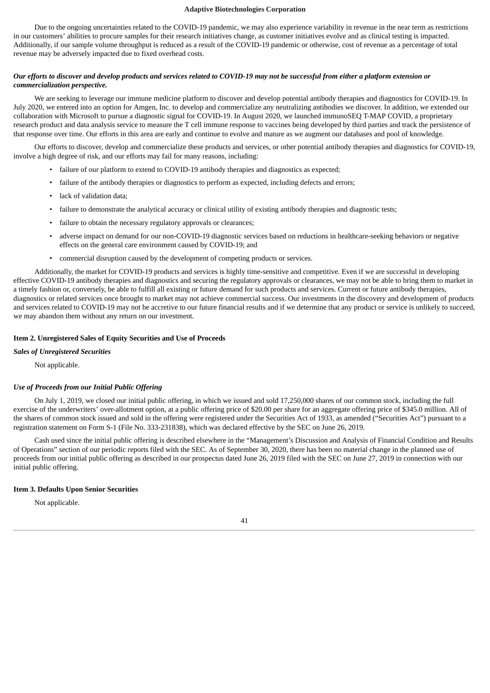Due to the ongoing uncertainties related to the COVID-19 pandemic, we may also experience variability in revenue in the near term as restrictions in our customers' abilities to procure samples for their research initiatives change, as customer initiatives evolve and as clinical testing is impacted. Additionally, if our sample volume throughput is reduced as a result of the COVID-19 pandemic or otherwise, cost of revenue as a percentage of total revenue may be adversely impacted due to fixed overhead costs.

## Our efforts to discover and develop products and services related to COVID-19 may not be successful from either a platform extension or *commercialization perspective.*

We are seeking to leverage our immune medicine platform to discover and develop potential antibody therapies and diagnostics for COVID-19. In July 2020, we entered into an option for Amgen, Inc. to develop and commercialize any neutralizing antibodies we discover. In addition, we extended our collaboration with Microsoft to pursue a diagnostic signal for COVID-19. In August 2020, we launched immunoSEQ T-MAP COVID, a proprietary research product and data analysis service to measure the T cell immune response to vaccines being developed by third parties and track the persistence of that response over time. Our efforts in this area are early and continue to evolve and mature as we augment our databases and pool of knowledge.

Our efforts to discover, develop and commercialize these products and services, or other potential antibody therapies and diagnostics for COVID-19, involve a high degree of risk, and our efforts may fail for many reasons, including:

- failure of our platform to extend to COVID-19 antibody therapies and diagnostics as expected;
- failure of the antibody therapies or diagnostics to perform as expected, including defects and errors;
- lack of validation data;
- failure to demonstrate the analytical accuracy or clinical utility of existing antibody therapies and diagnostic tests;
- failure to obtain the necessary regulatory approvals or clearances;
- adverse impact on demand for our non-COVID-19 diagnostic services based on reductions in healthcare-seeking behaviors or negative effects on the general care environment caused by COVID-19; and
- commercial disruption caused by the development of competing products or services.

Additionally, the market for COVID-19 products and services is highly time-sensitive and competitive. Even if we are successful in developing effective COVID-19 antibody therapies and diagnostics and securing the regulatory approvals or clearances, we may not be able to bring them to market in a timely fashion or, conversely, be able to fulfill all existing or future demand for such products and services. Current or future antibody therapies, diagnostics or related services once brought to market may not achieve commercial success. Our investments in the discovery and development of products and services related to COVID-19 may not be accretive to our future financial results and if we determine that any product or service is unlikely to succeed, we may abandon them without any return on our investment.

## <span id="page-40-0"></span>**Item 2. Unregistered Sales of Equity Securities and Use of Proceeds**

## *Sales of Unregistered Securities*

Not applicable.

## *Use of Proceeds from our Initial Public Offering*

On July 1, 2019, we closed our initial public offering, in which we issued and sold 17,250,000 shares of our common stock, including the full exercise of the underwriters' over-allotment option, at a public offering price of \$20.00 per share for an aggregate offering price of \$345.0 million. All of the shares of common stock issued and sold in the offering were registered under the Securities Act of 1933, as amended ("Securities Act") pursuant to a registration statement on Form S-1 (File No. 333-231838), which was declared effective by the SEC on June 26, 2019.

Cash used since the initial public offering is described elsewhere in the "Management's Discussion and Analysis of Financial Condition and Results of Operations" section of our periodic reports filed with the SEC. As of September 30, 2020, there has been no material change in the planned use of proceeds from our initial public offering as described in our prospectus dated June 26, 2019 filed with the SEC on June 27, 2019 in connection with our initial public offering.

## <span id="page-40-1"></span>**Item 3. Defaults Upon Senior Securities**

Not applicable.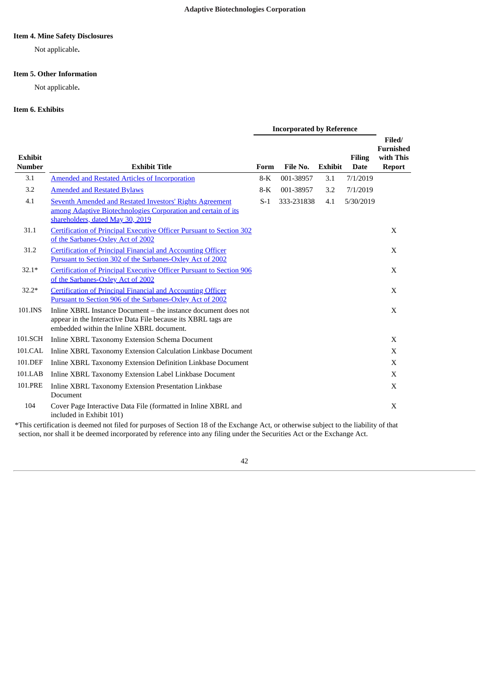## <span id="page-41-0"></span>**Item 4. Mine Safety Disclosures**

Not applicable**.**

## <span id="page-41-1"></span>**Item 5. Other Information**

Not applicable**.**

## <span id="page-41-2"></span>**Item 6. Exhibits**

|                                 |                                                                                                                                                                              | <b>Incorporated by Reference</b> |            |                |                              |                                                          |
|---------------------------------|------------------------------------------------------------------------------------------------------------------------------------------------------------------------------|----------------------------------|------------|----------------|------------------------------|----------------------------------------------------------|
| <b>Exhibit</b><br><b>Number</b> | <b>Exhibit Title</b>                                                                                                                                                         | Form                             | File No.   | <b>Exhibit</b> | <b>Filing</b><br><b>Date</b> | Filed/<br><b>Furnished</b><br>with This<br><b>Report</b> |
| 3.1                             | <b>Amended and Restated Articles of Incorporation</b>                                                                                                                        | 8-K                              | 001-38957  | 3.1            | 7/1/2019                     |                                                          |
| 3.2                             | <b>Amended and Restated Bylaws</b>                                                                                                                                           | $8-K$                            | 001-38957  | 3.2            | 7/1/2019                     |                                                          |
| 4.1                             | <b>Seventh Amended and Restated Investors' Rights Agreement</b><br>among Adaptive Biotechnologies Corporation and certain of its<br>shareholders, dated May 30, 2019         | $S-1$                            | 333-231838 | 4.1            | 5/30/2019                    |                                                          |
| 31.1                            | <b>Certification of Principal Executive Officer Pursuant to Section 302</b><br>of the Sarbanes-Oxley Act of 2002                                                             |                                  |            |                |                              | X                                                        |
| 31.2                            | <b>Certification of Principal Financial and Accounting Officer</b><br>Pursuant to Section 302 of the Sarbanes-Oxley Act of 2002                                              |                                  |            |                |                              | X                                                        |
| $32.1*$                         | <b>Certification of Principal Executive Officer Pursuant to Section 906</b><br>of the Sarbanes-Oxley Act of 2002                                                             |                                  |            |                |                              | X                                                        |
| $32.2*$                         | <b>Certification of Principal Financial and Accounting Officer</b><br>Pursuant to Section 906 of the Sarbanes-Oxley Act of 2002                                              |                                  |            |                |                              | X                                                        |
| 101.INS                         | Inline XBRL Instance Document – the instance document does not<br>appear in the Interactive Data File because its XBRL tags are<br>embedded within the Inline XBRL document. |                                  |            |                |                              | X                                                        |
| 101.SCH                         | Inline XBRL Taxonomy Extension Schema Document                                                                                                                               |                                  |            |                |                              | X                                                        |
| 101.CAL                         | Inline XBRL Taxonomy Extension Calculation Linkbase Document                                                                                                                 |                                  |            |                |                              | X                                                        |
| 101.DEF                         | Inline XBRL Taxonomy Extension Definition Linkbase Document                                                                                                                  |                                  |            |                |                              | X                                                        |
| 101.LAB                         | Inline XBRL Taxonomy Extension Label Linkbase Document                                                                                                                       |                                  |            |                |                              | X                                                        |
| 101.PRE                         | Inline XBRL Taxonomy Extension Presentation Linkbase<br>Document                                                                                                             |                                  |            |                |                              | X                                                        |
| 104                             | Cover Page Interactive Data File (formatted in Inline XBRL and<br>included in Exhibit 101)                                                                                   |                                  |            |                |                              | X                                                        |

\*This certification is deemed not filed for purposes of Section 18 of the Exchange Act, or otherwise subject to the liability of that section, nor shall it be deemed incorporated by reference into any filing under the Securities Act or the Exchange Act.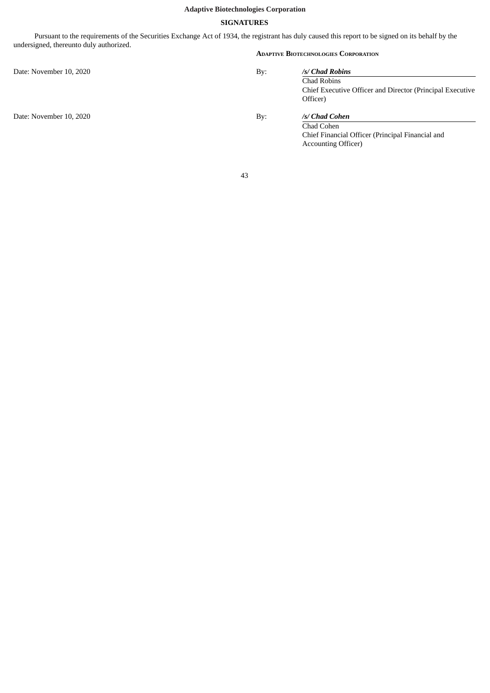## **SIGNATURES**

<span id="page-42-0"></span>Pursuant to the requirements of the Securities Exchange Act of 1934, the registrant has duly caused this report to be signed on its behalf by the undersigned, thereunto duly authorized.

Date: November 10, 2020 By:

Date: November 10, 2020 By:

## **ADAPTIVE BIOTECHNOLOGIES CORPORATION**

| /s/ Chad Robins                                                          |
|--------------------------------------------------------------------------|
| Chad Robins<br>Chief Executive Officer and Director (Principal Executive |
| Officer)                                                                 |
| /s/ Chad Cohen                                                           |
| Chad Cohen                                                               |

Chief Financial Officer (Principal Financial and Accounting Officer)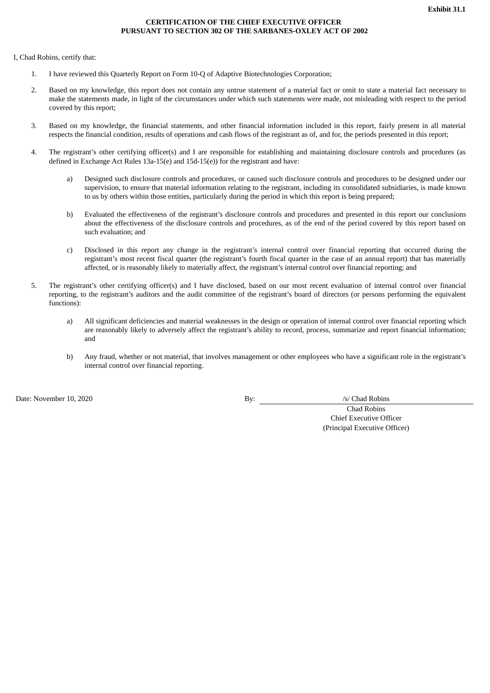## **CERTIFICATION OF THE CHIEF EXECUTIVE OFFICER PURSUANT TO SECTION 302 OF THE SARBANES-OXLEY ACT OF 2002**

<span id="page-43-0"></span>I, Chad Robins, certify that:

- 1. I have reviewed this Quarterly Report on Form 10-Q of Adaptive Biotechnologies Corporation;
- 2. Based on my knowledge, this report does not contain any untrue statement of a material fact or omit to state a material fact necessary to make the statements made, in light of the circumstances under which such statements were made, not misleading with respect to the period covered by this report;
- 3. Based on my knowledge, the financial statements, and other financial information included in this report, fairly present in all material respects the financial condition, results of operations and cash flows of the registrant as of, and for, the periods presented in this report;
- 4. The registrant's other certifying officer(s) and I are responsible for establishing and maintaining disclosure controls and procedures (as defined in Exchange Act Rules 13a-15(e) and 15d-15(e)) for the registrant and have:
	- a) Designed such disclosure controls and procedures, or caused such disclosure controls and procedures to be designed under our supervision, to ensure that material information relating to the registrant, including its consolidated subsidiaries, is made known to us by others within those entities, particularly during the period in which this report is being prepared;
	- b) Evaluated the effectiveness of the registrant's disclosure controls and procedures and presented in this report our conclusions about the effectiveness of the disclosure controls and procedures, as of the end of the period covered by this report based on such evaluation; and
	- c) Disclosed in this report any change in the registrant's internal control over financial reporting that occurred during the registrant's most recent fiscal quarter (the registrant's fourth fiscal quarter in the case of an annual report) that has materially affected, or is reasonably likely to materially affect, the registrant's internal control over financial reporting; and
- 5. The registrant's other certifying officer(s) and I have disclosed, based on our most recent evaluation of internal control over financial reporting, to the registrant's auditors and the audit committee of the registrant's board of directors (or persons performing the equivalent functions):
	- a) All significant deficiencies and material weaknesses in the design or operation of internal control over financial reporting which are reasonably likely to adversely affect the registrant's ability to record, process, summarize and report financial information; and
	- b) Any fraud, whether or not material, that involves management or other employees who have a significant role in the registrant's internal control over financial reporting.

Date: November 10, 2020 By: /s/ Chad Robins

Chad Robins Chief Executive Officer (Principal Executive Officer)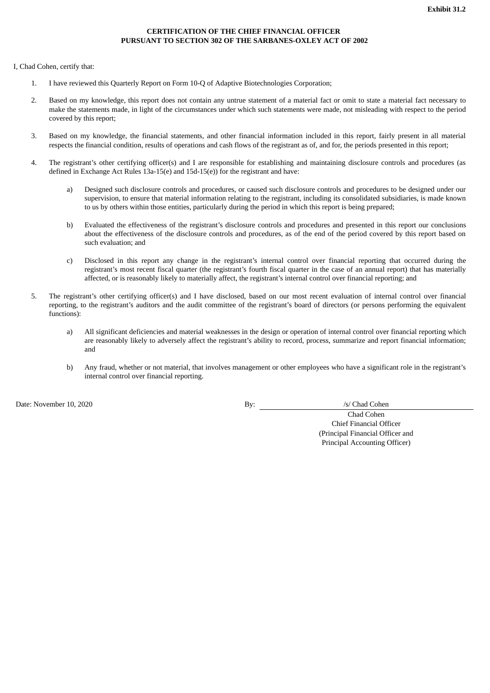# **CERTIFICATION OF THE CHIEF FINANCIAL OFFICER PURSUANT TO SECTION 302 OF THE SARBANES-OXLEY ACT OF 2002**

<span id="page-44-0"></span>I, Chad Cohen, certify that:

- 1. I have reviewed this Quarterly Report on Form 10-Q of Adaptive Biotechnologies Corporation;
- 2. Based on my knowledge, this report does not contain any untrue statement of a material fact or omit to state a material fact necessary to make the statements made, in light of the circumstances under which such statements were made, not misleading with respect to the period covered by this report;
- 3. Based on my knowledge, the financial statements, and other financial information included in this report, fairly present in all material respects the financial condition, results of operations and cash flows of the registrant as of, and for, the periods presented in this report;
- 4. The registrant's other certifying officer(s) and I are responsible for establishing and maintaining disclosure controls and procedures (as defined in Exchange Act Rules 13a-15(e) and 15d-15(e)) for the registrant and have:
	- a) Designed such disclosure controls and procedures, or caused such disclosure controls and procedures to be designed under our supervision, to ensure that material information relating to the registrant, including its consolidated subsidiaries, is made known to us by others within those entities, particularly during the period in which this report is being prepared;
	- b) Evaluated the effectiveness of the registrant's disclosure controls and procedures and presented in this report our conclusions about the effectiveness of the disclosure controls and procedures, as of the end of the period covered by this report based on such evaluation; and
	- c) Disclosed in this report any change in the registrant's internal control over financial reporting that occurred during the registrant's most recent fiscal quarter (the registrant's fourth fiscal quarter in the case of an annual report) that has materially affected, or is reasonably likely to materially affect, the registrant's internal control over financial reporting; and
- 5. The registrant's other certifying officer(s) and I have disclosed, based on our most recent evaluation of internal control over financial reporting, to the registrant's auditors and the audit committee of the registrant's board of directors (or persons performing the equivalent functions):
	- a) All significant deficiencies and material weaknesses in the design or operation of internal control over financial reporting which are reasonably likely to adversely affect the registrant's ability to record, process, summarize and report financial information; and
	- b) Any fraud, whether or not material, that involves management or other employees who have a significant role in the registrant's internal control over financial reporting.

Date: November 10, 2020 By: /s/ Chad Cohen

Chad Cohen Chief Financial Officer (Principal Financial Officer and Principal Accounting Officer)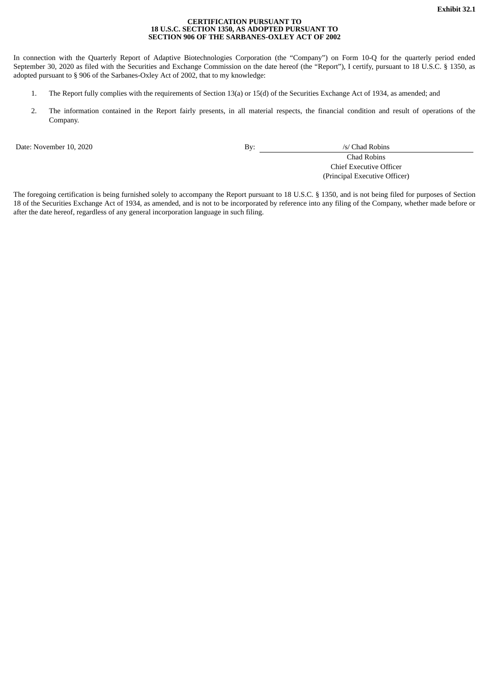#### **CERTIFICATION PURSUANT TO 18 U.S.C. SECTION 1350, AS ADOPTED PURSUANT TO SECTION 906 OF THE SARBANES-OXLEY ACT OF 2002**

<span id="page-45-0"></span>In connection with the Quarterly Report of Adaptive Biotechnologies Corporation (the "Company") on Form 10-Q for the quarterly period ended September 30, 2020 as filed with the Securities and Exchange Commission on the date hereof (the "Report"), I certify, pursuant to 18 U.S.C. § 1350, as adopted pursuant to § 906 of the Sarbanes-Oxley Act of 2002, that to my knowledge:

- 1. The Report fully complies with the requirements of Section 13(a) or 15(d) of the Securities Exchange Act of 1934, as amended; and
- 2. The information contained in the Report fairly presents, in all material respects, the financial condition and result of operations of the Company.

Date: November 10, 2020 By: /s/ Chad Robins

Chad Robins Chief Executive Officer (Principal Executive Officer)

The foregoing certification is being furnished solely to accompany the Report pursuant to 18 U.S.C. § 1350, and is not being filed for purposes of Section 18 of the Securities Exchange Act of 1934, as amended, and is not to be incorporated by reference into any filing of the Company, whether made before or after the date hereof, regardless of any general incorporation language in such filing.